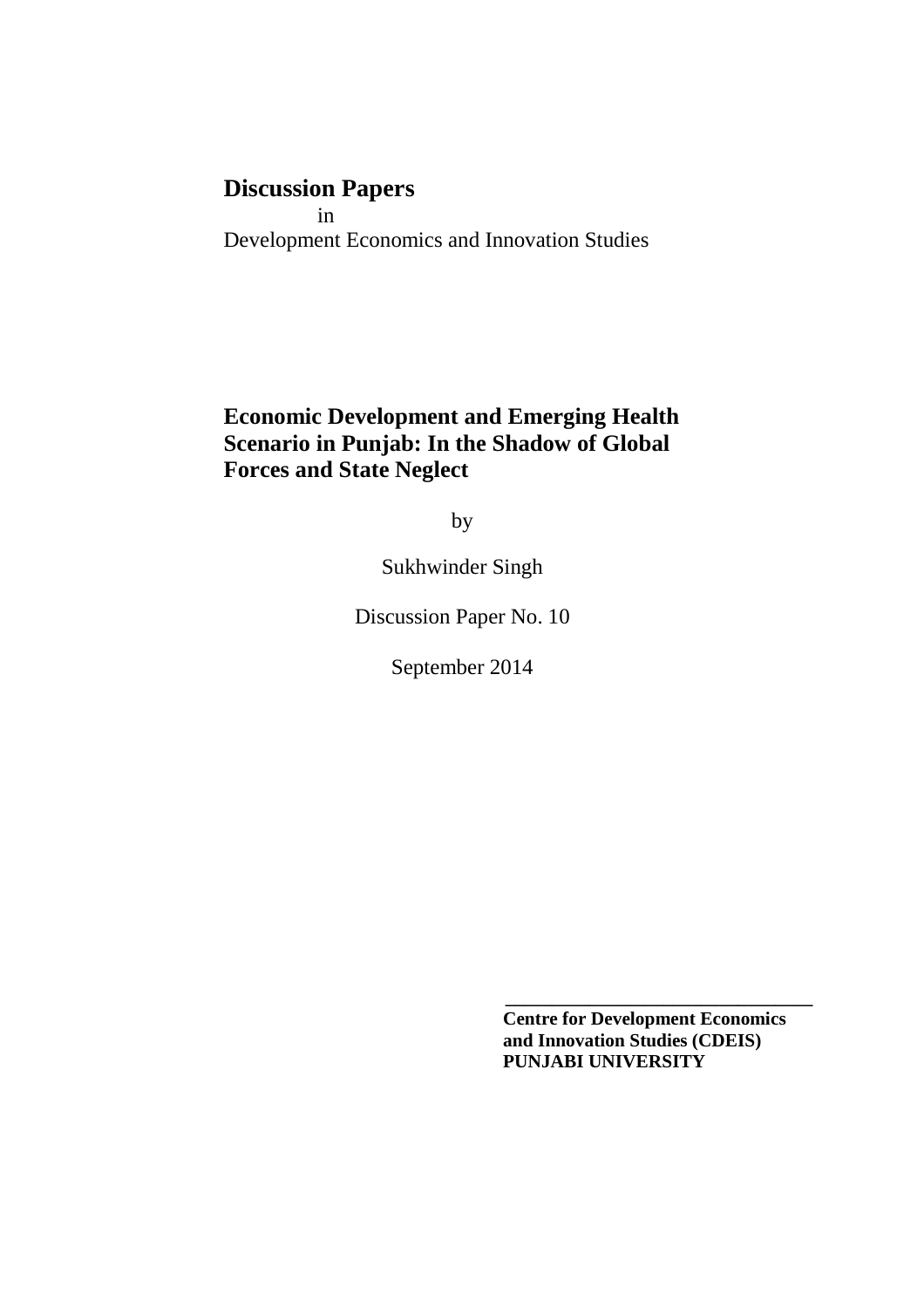# **Discussion Papers**

 in Development Economics and Innovation Studies

**Economic Development and Emerging Health Scenario in Punjab: In the Shadow of Global Forces and State Neglect**

by

Sukhwinder Singh

Discussion Paper No. 10

September 2014

 **Centre for Development Economics and Innovation Studies (CDEIS) PUNJABI UNIVERSITY**

**\_\_\_\_\_\_\_\_\_\_\_\_\_\_\_\_\_\_\_\_\_\_\_\_\_\_\_\_\_\_\_\_\_**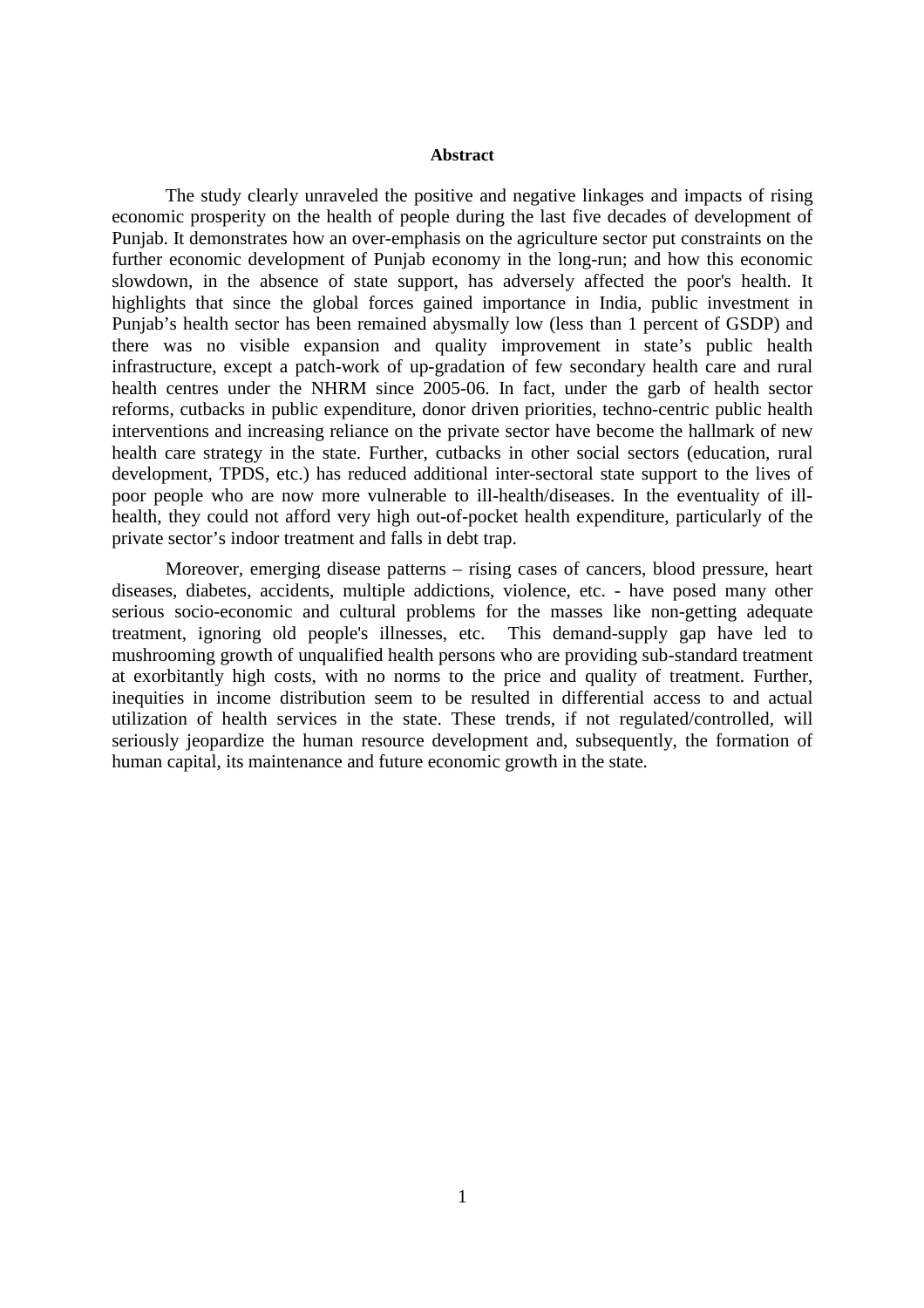#### **Abstract**

The study clearly unraveled the positive and negative linkages and impacts of rising economic prosperity on the health of people during the last five decades of development of Punjab. It demonstrates how an over-emphasis on the agriculture sector put constraints on the further economic development of Punjab economy in the long-run; and how this economic slowdown, in the absence of state support, has adversely affected the poor's health. It highlights that since the global forces gained importance in India, public investment in Punjab's health sector has been remained abysmally low (less than 1 percent of GSDP) and there was no visible expansion and quality improvement in state's public health infrastructure, except a patch-work of up-gradation of few secondary health care and rural health centres under the NHRM since 2005-06. In fact, under the garb of health sector reforms, cutbacks in public expenditure, donor driven priorities, techno-centric public health interventions and increasing reliance on the private sector have become the hallmark of new health care strategy in the state. Further, cutbacks in other social sectors (education, rural development, TPDS, etc.) has reduced additional inter-sectoral state support to the lives of poor people who are now more vulnerable to ill-health/diseases. In the eventuality of illhealth, they could not afford very high out-of-pocket health expenditure, particularly of the private sector's indoor treatment and falls in debt trap.

Moreover, emerging disease patterns – rising cases of cancers, blood pressure, heart diseases, diabetes, accidents, multiple addictions, violence, etc. - have posed many other serious socio-economic and cultural problems for the masses like non-getting adequate treatment, ignoring old people's illnesses, etc. This demand-supply gap have led to mushrooming growth of unqualified health persons who are providing sub-standard treatment at exorbitantly high costs, with no norms to the price and quality of treatment. Further, inequities in income distribution seem to be resulted in differential access to and actual utilization of health services in the state. These trends, if not regulated/controlled, will seriously jeopardize the human resource development and, subsequently, the formation of human capital, its maintenance and future economic growth in the state.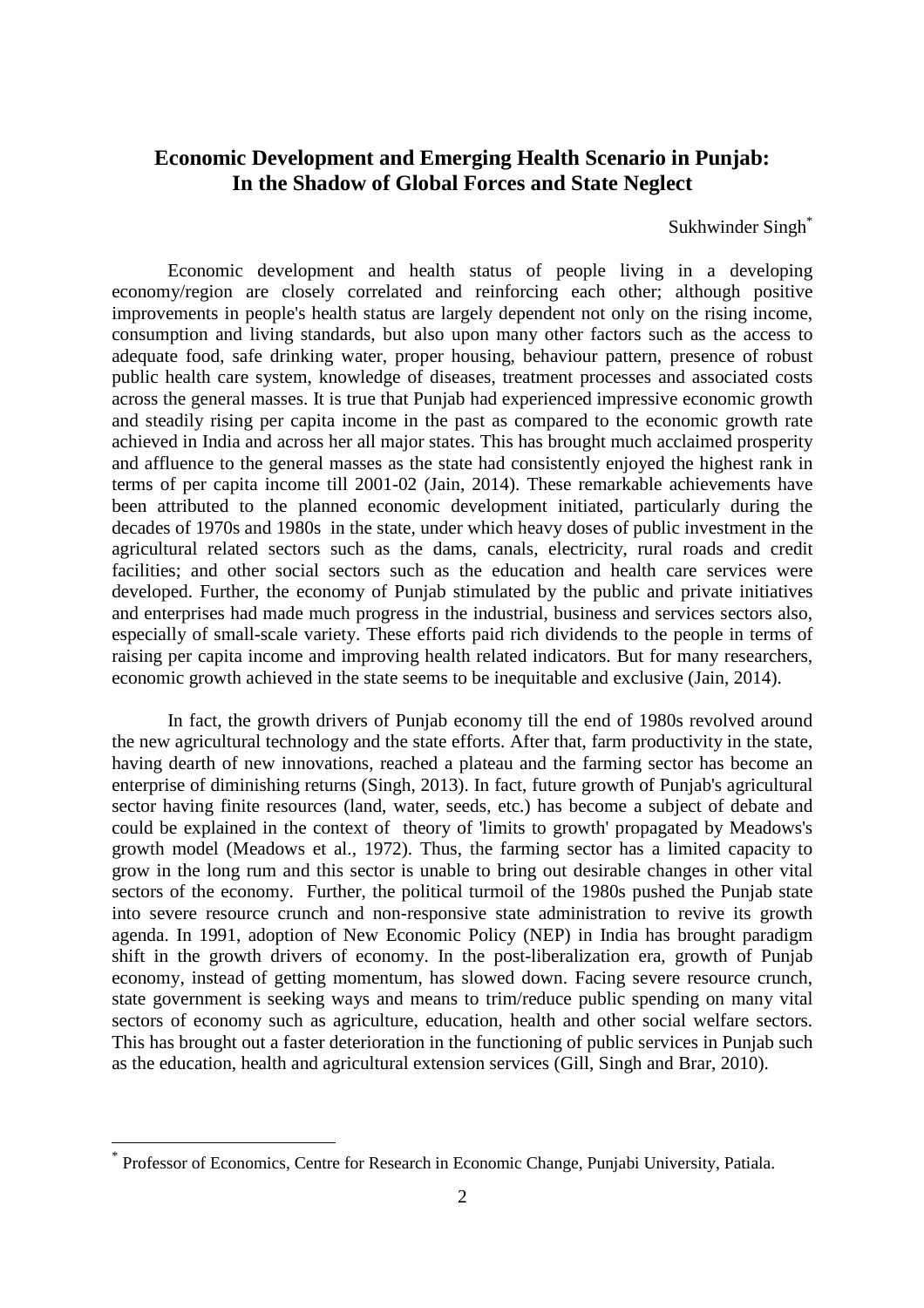## **Economic Development and Emerging Health Scenario in Punjab: In the Shadow of Global Forces and State Neglect**

Sukhwinder Singh<sup>\*</sup>

Economic development and health status of people living in a developing economy/region are closely correlated and reinforcing each other; although positive improvements in people's health status are largely dependent not only on the rising income, consumption and living standards, but also upon many other factors such as the access to adequate food, safe drinking water, proper housing, behaviour pattern, presence of robust public health care system, knowledge of diseases, treatment processes and associated costs across the general masses. It is true that Punjab had experienced impressive economic growth and steadily rising per capita income in the past as compared to the economic growth rate achieved in India and across her all major states. This has brought much acclaimed prosperity and affluence to the general masses as the state had consistently enjoyed the highest rank in terms of per capita income till 2001-02 (Jain, 2014). These remarkable achievements have been attributed to the planned economic development initiated, particularly during the decades of 1970s and 1980s in the state, under which heavy doses of public investment in the agricultural related sectors such as the dams, canals, electricity, rural roads and credit facilities; and other social sectors such as the education and health care services were developed. Further, the economy of Punjab stimulated by the public and private initiatives and enterprises had made much progress in the industrial, business and services sectors also, especially of small-scale variety. These efforts paid rich dividends to the people in terms of raising per capita income and improving health related indicators. But for many researchers, economic growth achieved in the state seems to be inequitable and exclusive (Jain, 2014).

In fact, the growth drivers of Punjab economy till the end of 1980s revolved around the new agricultural technology and the state efforts. After that, farm productivity in the state, having dearth of new innovations, reached a plateau and the farming sector has become an enterprise of diminishing returns (Singh, 2013). In fact, future growth of Punjab's agricultural sector having finite resources (land, water, seeds, etc.) has become a subject of debate and could be explained in the context of theory of 'limits to growth' propagated by Meadows's growth model (Meadows et al., 1972). Thus, the farming sector has a limited capacity to grow in the long rum and this sector is unable to bring out desirable changes in other vital sectors of the economy. Further, the political turmoil of the 1980s pushed the Punjab state into severe resource crunch and non-responsive state administration to revive its growth agenda. In 1991, adoption of New Economic Policy (NEP) in India has brought paradigm shift in the growth drivers of economy. In the post-liberalization era, growth of Punjab economy, instead of getting momentum, has slowed down. Facing severe resource crunch, state government is seeking ways and means to trim/reduce public spending on many vital sectors of economy such as agriculture, education, health and other social welfare sectors. This has brought out a faster deterioration in the functioning of public services in Punjab such as the education, health and agricultural extension services (Gill, Singh and Brar, 2010).

 $\overline{a}$ 

<sup>\*</sup> Professor of Economics, Centre for Research in Economic Change, Punjabi University, Patiala.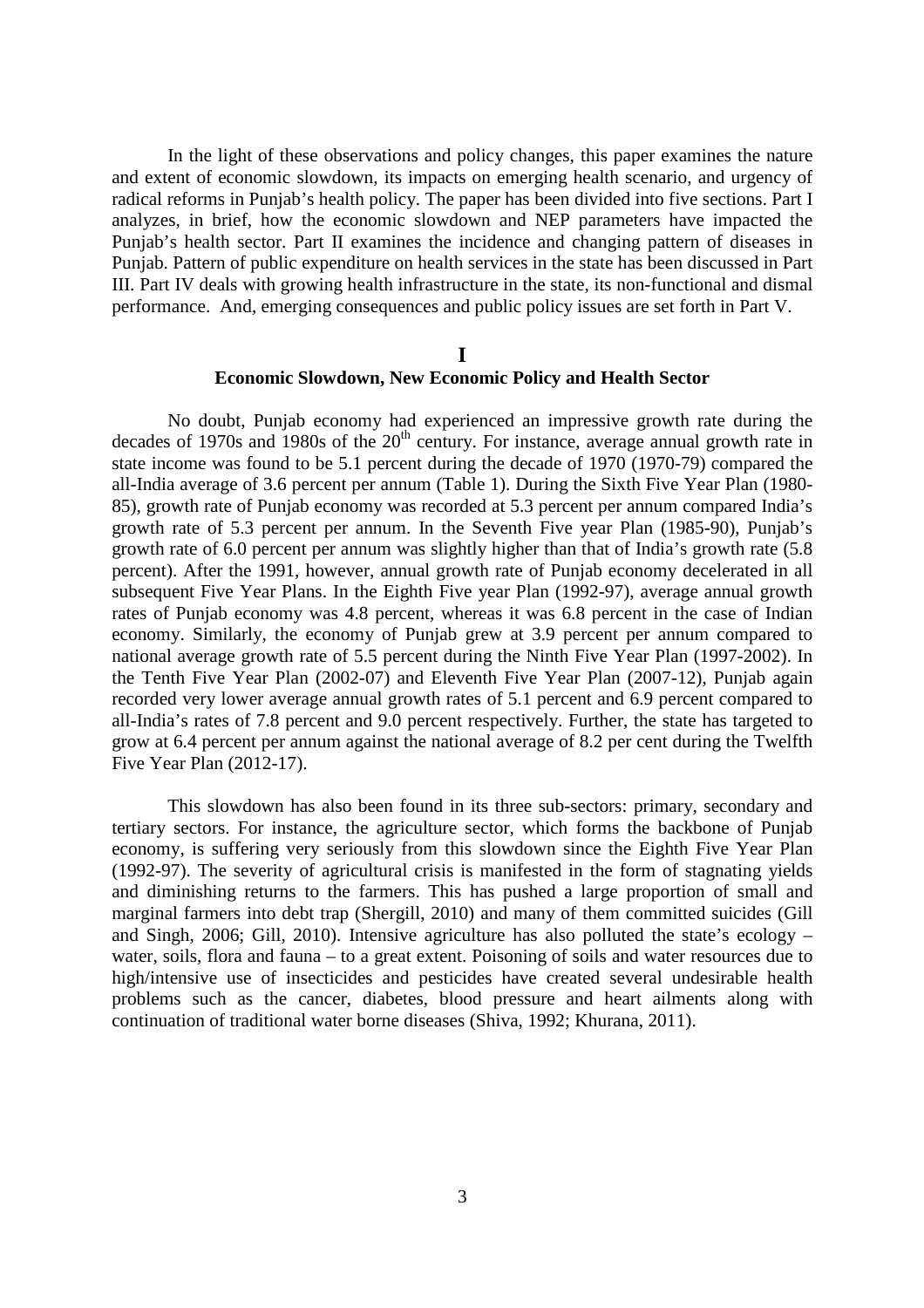In the light of these observations and policy changes, this paper examines the nature and extent of economic slowdown, its impacts on emerging health scenario, and urgency of radical reforms in Punjab's health policy. The paper has been divided into five sections. Part I analyzes, in brief, how the economic slowdown and NEP parameters have impacted the Punjab's health sector. Part II examines the incidence and changing pattern of diseases in Punjab. Pattern of public expenditure on health services in the state has been discussed in Part III. Part IV deals with growing health infrastructure in the state, its non-functional and dismal performance. And, emerging consequences and public policy issues are set forth in Part V.

#### **I**

### **Economic Slowdown, New Economic Policy and Health Sector**

No doubt, Punjab economy had experienced an impressive growth rate during the decades of 1970s and 1980s of the  $20<sup>th</sup>$  century. For instance, average annual growth rate in state income was found to be 5.1 percent during the decade of 1970 (1970-79) compared the all-India average of 3.6 percent per annum (Table 1). During the Sixth Five Year Plan (1980- 85), growth rate of Punjab economy was recorded at 5.3 percent per annum compared India's growth rate of 5.3 percent per annum. In the Seventh Five year Plan (1985-90), Punjab's growth rate of 6.0 percent per annum was slightly higher than that of India's growth rate (5.8 percent). After the 1991, however, annual growth rate of Punjab economy decelerated in all subsequent Five Year Plans. In the Eighth Five year Plan (1992-97), average annual growth rates of Punjab economy was 4.8 percent, whereas it was 6.8 percent in the case of Indian economy. Similarly, the economy of Punjab grew at 3.9 percent per annum compared to national average growth rate of 5.5 percent during the Ninth Five Year Plan (1997-2002). In the Tenth Five Year Plan (2002-07) and Eleventh Five Year Plan (2007-12), Punjab again recorded very lower average annual growth rates of 5.1 percent and 6.9 percent compared to all-India's rates of 7.8 percent and 9.0 percent respectively. Further, the state has targeted to grow at 6.4 percent per annum against the national average of 8.2 per cent during the Twelfth Five Year Plan (2012-17).

This slowdown has also been found in its three sub-sectors: primary, secondary and tertiary sectors. For instance, the agriculture sector, which forms the backbone of Punjab economy, is suffering very seriously from this slowdown since the Eighth Five Year Plan (1992-97). The severity of agricultural crisis is manifested in the form of stagnating yields and diminishing returns to the farmers. This has pushed a large proportion of small and marginal farmers into debt trap (Shergill, 2010) and many of them committed suicides (Gill and Singh, 2006; Gill, 2010). Intensive agriculture has also polluted the state's ecology – water, soils, flora and fauna – to a great extent. Poisoning of soils and water resources due to high/intensive use of insecticides and pesticides have created several undesirable health problems such as the cancer, diabetes, blood pressure and heart ailments along with continuation of traditional water borne diseases (Shiva, 1992; Khurana, 2011).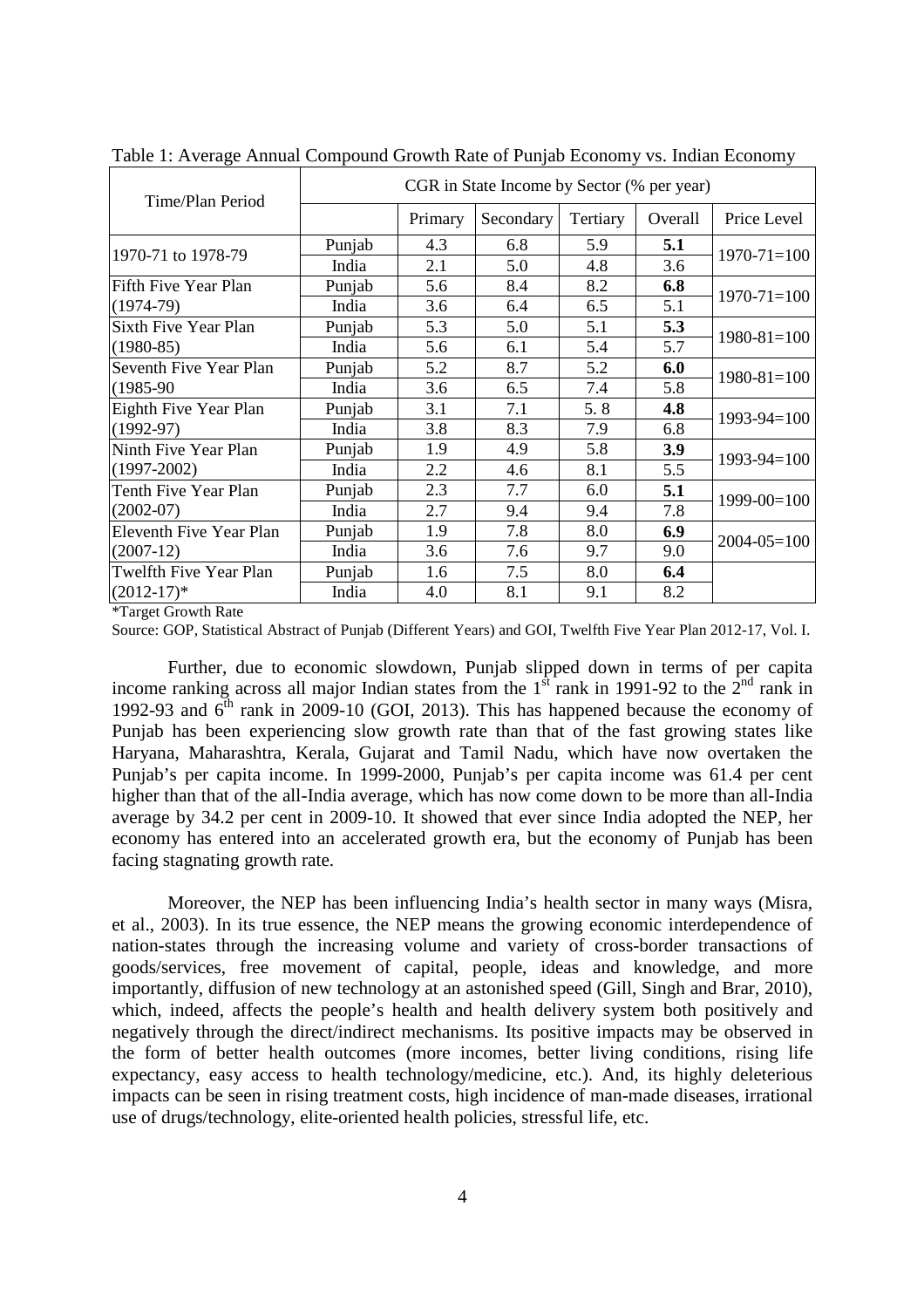| Time/Plan Period               |        |         | CGR in State Income by Sector (% per year) |          |         |                   |
|--------------------------------|--------|---------|--------------------------------------------|----------|---------|-------------------|
|                                |        | Primary | Secondary                                  | Tertiary | Overall | Price Level       |
| 1970-71 to 1978-79             | Punjab | 4.3     | 6.8                                        | 5.9      | 5.1     | $1970 - 71 = 100$ |
|                                | India  | 2.1     | 5.0                                        | 4.8      | 3.6     |                   |
| Fifth Five Year Plan           | Punjab | 5.6     | 8.4                                        | 8.2      | 6.8     | $1970 - 71 = 100$ |
| $(1974-79)$                    | India  | 3.6     | 6.4                                        | 6.5      | 5.1     |                   |
| Sixth Five Year Plan           | Punjab | 5.3     | 5.0                                        | 5.1      | 5.3     |                   |
| $(1980-85)$                    | India  | 5.6     | 6.1                                        | 5.4      | 5.7     | $1980 - 81 = 100$ |
| Seventh Five Year Plan         | Punjab | 5.2     | 8.7                                        | 5.2      | 6.0     | $1980 - 81 = 100$ |
| $(1985-90)$                    | India  | 3.6     | 6.5                                        | 7.4      | 5.8     |                   |
| Eighth Five Year Plan          | Punjab | 3.1     | 7.1                                        | 5.8      | 4.8     | $1993 - 94 = 100$ |
| $(1992-97)$                    | India  | 3.8     | 8.3                                        | 7.9      | 6.8     |                   |
| Ninth Five Year Plan           | Punjab | 1.9     | 4.9                                        | 5.8      | 3.9     | $1993 - 94 = 100$ |
| $(1997-2002)$                  | India  | 2.2     | 4.6                                        | 8.1      | 5.5     |                   |
| Tenth Five Year Plan           | Punjab | 2.3     | 7.7                                        | 6.0      | 5.1     | $1999 - 00 = 100$ |
| $(2002-07)$                    | India  | 2.7     | 9.4                                        | 9.4      | 7.8     |                   |
| <b>Eleventh Five Year Plan</b> | Punjab | 1.9     | 7.8                                        | 8.0      | 6.9     | $2004 - 05 = 100$ |
| $(2007-12)$                    | India  | 3.6     | 7.6                                        | 9.7      | 9.0     |                   |
| Twelfth Five Year Plan         | Punjab | 1.6     | 7.5                                        | 8.0      | 6.4     |                   |
| $(2012-17)^*$                  | India  | 4.0     | 8.1                                        | 9.1      | 8.2     |                   |

Table 1: Average Annual Compound Growth Rate of Punjab Economy vs. Indian Economy

\*Target Growth Rate

Source: GOP, Statistical Abstract of Punjab (Different Years) and GOI, Twelfth Five Year Plan 2012-17, Vol. I.

Further, due to economic slowdown, Punjab slipped down in terms of per capita income ranking across all major Indian states from the  $1<sup>st</sup>$  rank in 1991-92 to the  $2<sup>nd</sup>$  rank in 1992-93 and  $6<sup>th</sup>$  rank in 2009-10 (GOI, 2013). This has happened because the economy of Punjab has been experiencing slow growth rate than that of the fast growing states like Haryana, Maharashtra, Kerala, Gujarat and Tamil Nadu, which have now overtaken the Punjab's per capita income. In 1999-2000, Punjab's per capita income was 61.4 per cent higher than that of the all-India average, which has now come down to be more than all-India average by 34.2 per cent in 2009-10. It showed that ever since India adopted the NEP, her economy has entered into an accelerated growth era, but the economy of Punjab has been facing stagnating growth rate.

 Moreover, the NEP has been influencing India's health sector in many ways (Misra, et al., 2003). In its true essence, the NEP means the growing economic interdependence of nation-states through the increasing volume and variety of cross-border transactions of goods/services, free movement of capital, people, ideas and knowledge, and more importantly, diffusion of new technology at an astonished speed (Gill, Singh and Brar, 2010), which, indeed, affects the people's health and health delivery system both positively and negatively through the direct/indirect mechanisms. Its positive impacts may be observed in the form of better health outcomes (more incomes, better living conditions, rising life expectancy, easy access to health technology/medicine, etc.). And, its highly deleterious impacts can be seen in rising treatment costs, high incidence of man-made diseases, irrational use of drugs/technology, elite-oriented health policies, stressful life, etc.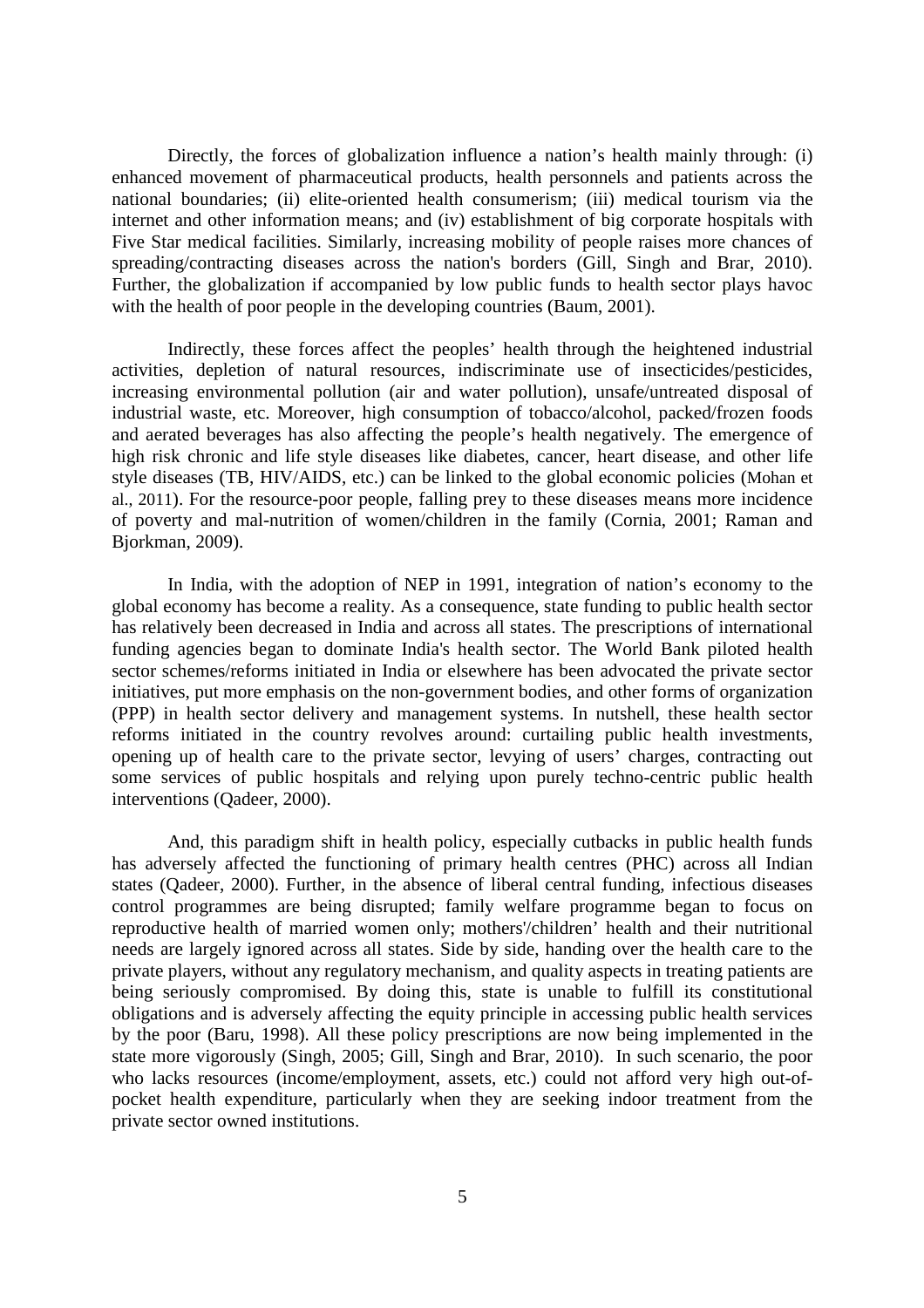Directly, the forces of globalization influence a nation's health mainly through: (i) enhanced movement of pharmaceutical products, health personnels and patients across the national boundaries; (ii) elite-oriented health consumerism; (iii) medical tourism via the internet and other information means; and (iv) establishment of big corporate hospitals with Five Star medical facilities. Similarly, increasing mobility of people raises more chances of spreading/contracting diseases across the nation's borders (Gill, Singh and Brar, 2010). Further, the globalization if accompanied by low public funds to health sector plays havoc with the health of poor people in the developing countries (Baum, 2001).

Indirectly, these forces affect the peoples' health through the heightened industrial activities, depletion of natural resources, indiscriminate use of insecticides/pesticides, increasing environmental pollution (air and water pollution), unsafe/untreated disposal of industrial waste, etc. Moreover, high consumption of tobacco/alcohol, packed/frozen foods and aerated beverages has also affecting the people's health negatively. The emergence of high risk chronic and life style diseases like diabetes, cancer, heart disease, and other life style diseases (TB, HIV/AIDS, etc.) can be linked to the global economic policies (Mohan et al., 2011). For the resource-poor people, falling prey to these diseases means more incidence of poverty and mal-nutrition of women/children in the family (Cornia, 2001; Raman and Bjorkman, 2009).

 In India, with the adoption of NEP in 1991, integration of nation's economy to the global economy has become a reality. As a consequence, state funding to public health sector has relatively been decreased in India and across all states. The prescriptions of international funding agencies began to dominate India's health sector. The World Bank piloted health sector schemes/reforms initiated in India or elsewhere has been advocated the private sector initiatives, put more emphasis on the non-government bodies, and other forms of organization (PPP) in health sector delivery and management systems. In nutshell, these health sector reforms initiated in the country revolves around: curtailing public health investments, opening up of health care to the private sector, levying of users' charges, contracting out some services of public hospitals and relying upon purely techno-centric public health interventions (Qadeer, 2000).

 And, this paradigm shift in health policy, especially cutbacks in public health funds has adversely affected the functioning of primary health centres (PHC) across all Indian states (Qadeer, 2000). Further, in the absence of liberal central funding, infectious diseases control programmes are being disrupted; family welfare programme began to focus on reproductive health of married women only; mothers'/children' health and their nutritional needs are largely ignored across all states. Side by side, handing over the health care to the private players, without any regulatory mechanism, and quality aspects in treating patients are being seriously compromised. By doing this, state is unable to fulfill its constitutional obligations and is adversely affecting the equity principle in accessing public health services by the poor (Baru, 1998). All these policy prescriptions are now being implemented in the state more vigorously (Singh, 2005; Gill, Singh and Brar, 2010). In such scenario, the poor who lacks resources (income/employment, assets, etc.) could not afford very high out-ofpocket health expenditure, particularly when they are seeking indoor treatment from the private sector owned institutions.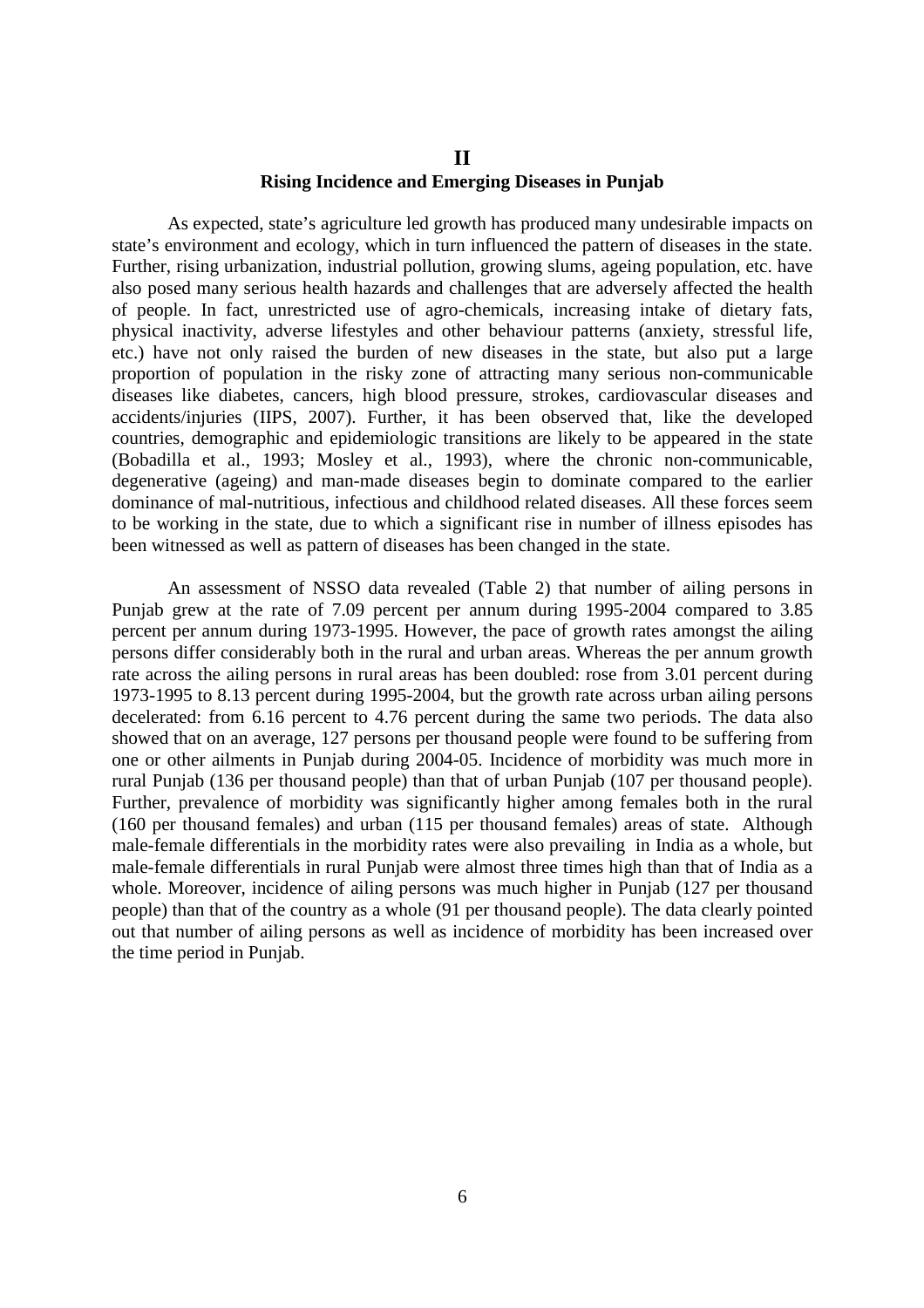### **II Rising Incidence and Emerging Diseases in Punjab**

As expected, state's agriculture led growth has produced many undesirable impacts on state's environment and ecology, which in turn influenced the pattern of diseases in the state. Further, rising urbanization, industrial pollution, growing slums, ageing population, etc. have also posed many serious health hazards and challenges that are adversely affected the health of people. In fact, unrestricted use of agro-chemicals, increasing intake of dietary fats, physical inactivity, adverse lifestyles and other behaviour patterns (anxiety, stressful life, etc.) have not only raised the burden of new diseases in the state, but also put a large proportion of population in the risky zone of attracting many serious non-communicable diseases like diabetes, cancers, high blood pressure, strokes, cardiovascular diseases and accidents/injuries (IIPS, 2007). Further, it has been observed that, like the developed countries, demographic and epidemiologic transitions are likely to be appeared in the state (Bobadilla et al., 1993; Mosley et al., 1993), where the chronic non-communicable, degenerative (ageing) and man-made diseases begin to dominate compared to the earlier dominance of mal-nutritious, infectious and childhood related diseases. All these forces seem to be working in the state, due to which a significant rise in number of illness episodes has been witnessed as well as pattern of diseases has been changed in the state.

An assessment of NSSO data revealed (Table 2) that number of ailing persons in Punjab grew at the rate of 7.09 percent per annum during 1995-2004 compared to 3.85 percent per annum during 1973-1995. However, the pace of growth rates amongst the ailing persons differ considerably both in the rural and urban areas. Whereas the per annum growth rate across the ailing persons in rural areas has been doubled: rose from 3.01 percent during 1973-1995 to 8.13 percent during 1995-2004, but the growth rate across urban ailing persons decelerated: from 6.16 percent to 4.76 percent during the same two periods. The data also showed that on an average, 127 persons per thousand people were found to be suffering from one or other ailments in Punjab during 2004-05. Incidence of morbidity was much more in rural Punjab (136 per thousand people) than that of urban Punjab (107 per thousand people). Further, prevalence of morbidity was significantly higher among females both in the rural (160 per thousand females) and urban (115 per thousand females) areas of state. Although male-female differentials in the morbidity rates were also prevailing in India as a whole, but male-female differentials in rural Punjab were almost three times high than that of India as a whole. Moreover, incidence of ailing persons was much higher in Punjab (127 per thousand people) than that of the country as a whole (91 per thousand people). The data clearly pointed out that number of ailing persons as well as incidence of morbidity has been increased over the time period in Punjab.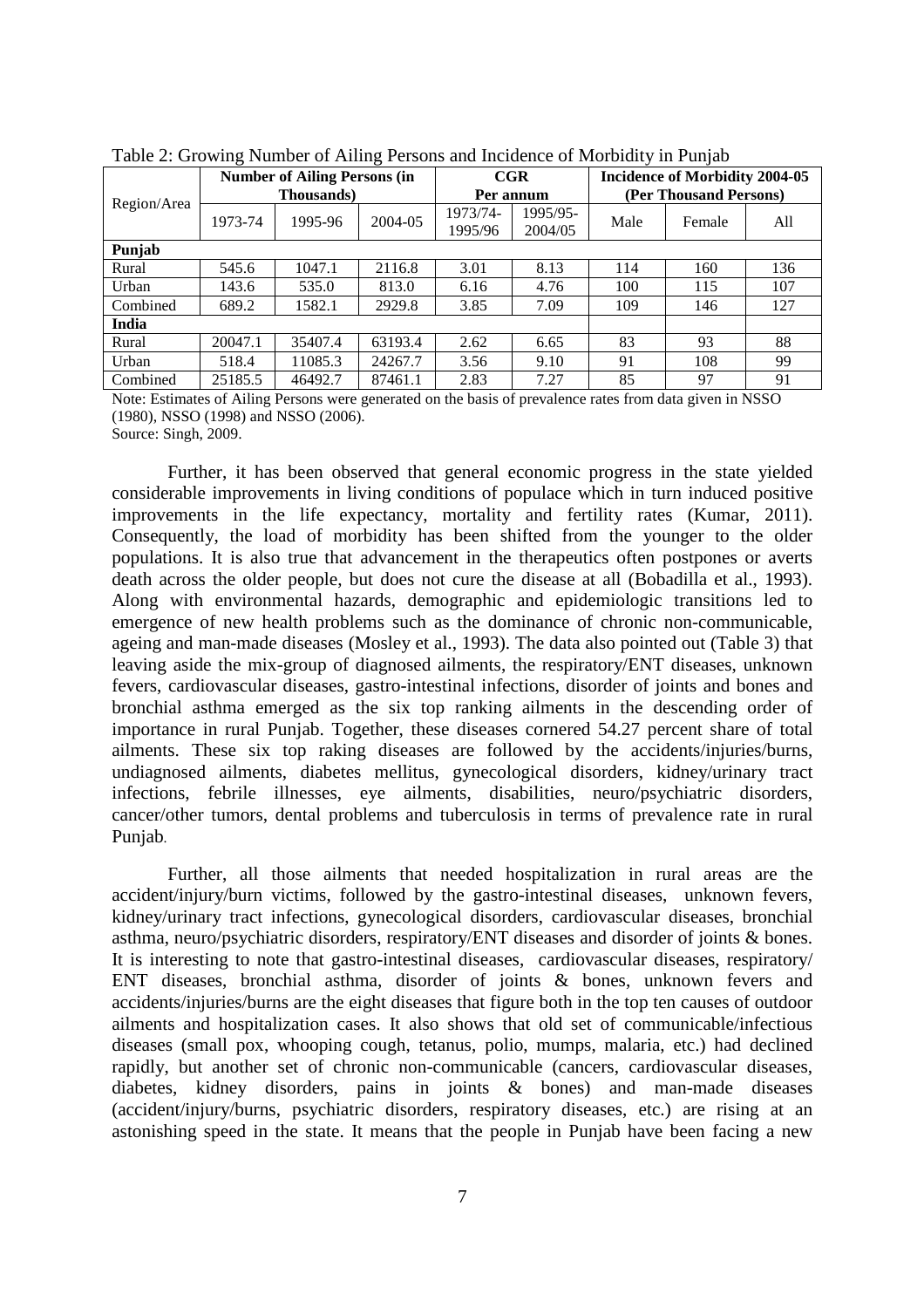| Twore 2. STOWING FUNDED OF FUNDING FUNDING MIN INVIGATION OF MINITORITY III I WILLOW |         |                                     |         |                     |                     |                                       |        |     |  |  |  |
|--------------------------------------------------------------------------------------|---------|-------------------------------------|---------|---------------------|---------------------|---------------------------------------|--------|-----|--|--|--|
|                                                                                      |         | <b>Number of Ailing Persons (in</b> |         |                     | CGR                 | <b>Incidence of Morbidity 2004-05</b> |        |     |  |  |  |
|                                                                                      |         | <b>Thousands</b> )                  |         |                     | Per annum           | (Per Thousand Persons)                |        |     |  |  |  |
| Region/Area                                                                          | 1973-74 | 1995-96                             | 2004-05 | 1973/74-<br>1995/96 | 1995/95-<br>2004/05 | Male                                  | Female | All |  |  |  |
| Punjab                                                                               |         |                                     |         |                     |                     |                                       |        |     |  |  |  |
| Rural                                                                                | 545.6   | 1047.1                              | 2116.8  | 3.01                | 8.13                | 114                                   | 160    | 136 |  |  |  |
| Urban                                                                                | 143.6   | 535.0                               | 813.0   | 6.16                | 4.76                | 100                                   | 115    | 107 |  |  |  |
| Combined                                                                             | 689.2   | 1582.1                              | 2929.8  | 3.85                | 7.09                | 109                                   | 146    | 127 |  |  |  |
| India                                                                                |         |                                     |         |                     |                     |                                       |        |     |  |  |  |
| Rural                                                                                | 20047.1 | 35407.4                             | 63193.4 | 2.62                | 6.65                | 83                                    | 93     | 88  |  |  |  |
| Urban                                                                                | 518.4   | 11085.3                             | 24267.7 | 3.56                | 9.10                | 91                                    | 108    | 99  |  |  |  |
| Combined                                                                             | 25185.5 | 46492.7                             | 87461.1 | 2.83                | 7.27                | 85                                    | 97     | 91  |  |  |  |

Table 2: Growing Number of Ailing Persons and Incidence of Morbidity in Punjab

Note: Estimates of Ailing Persons were generated on the basis of prevalence rates from data given in NSSO (1980), NSSO (1998) and NSSO (2006).

Source: Singh, 2009.

Further, it has been observed that general economic progress in the state yielded considerable improvements in living conditions of populace which in turn induced positive improvements in the life expectancy, mortality and fertility rates (Kumar, 2011). Consequently, the load of morbidity has been shifted from the younger to the older populations. It is also true that advancement in the therapeutics often postpones or averts death across the older people, but does not cure the disease at all (Bobadilla et al., 1993). Along with environmental hazards, demographic and epidemiologic transitions led to emergence of new health problems such as the dominance of chronic non-communicable, ageing and man-made diseases (Mosley et al., 1993). The data also pointed out (Table 3) that leaving aside the mix-group of diagnosed ailments, the respiratory/ENT diseases, unknown fevers, cardiovascular diseases, gastro-intestinal infections, disorder of joints and bones and bronchial asthma emerged as the six top ranking ailments in the descending order of importance in rural Punjab. Together, these diseases cornered 54.27 percent share of total ailments. These six top raking diseases are followed by the accidents/injuries/burns, undiagnosed ailments, diabetes mellitus, gynecological disorders, kidney/urinary tract infections, febrile illnesses, eye ailments, disabilities, neuro/psychiatric disorders, cancer/other tumors, dental problems and tuberculosis in terms of prevalence rate in rural Punjab.

Further, all those ailments that needed hospitalization in rural areas are the accident/injury/burn victims, followed by the gastro-intestinal diseases, unknown fevers, kidney/urinary tract infections, gynecological disorders, cardiovascular diseases, bronchial asthma, neuro/psychiatric disorders, respiratory/ENT diseases and disorder of joints & bones. It is interesting to note that gastro-intestinal diseases, cardiovascular diseases, respiratory/ ENT diseases, bronchial asthma, disorder of joints & bones, unknown fevers and accidents/injuries/burns are the eight diseases that figure both in the top ten causes of outdoor ailments and hospitalization cases. It also shows that old set of communicable/infectious diseases (small pox, whooping cough, tetanus, polio, mumps, malaria, etc.) had declined rapidly, but another set of chronic non-communicable (cancers, cardiovascular diseases, diabetes, kidney disorders, pains in joints & bones) and man-made diseases (accident/injury/burns, psychiatric disorders, respiratory diseases, etc.) are rising at an astonishing speed in the state. It means that the people in Punjab have been facing a new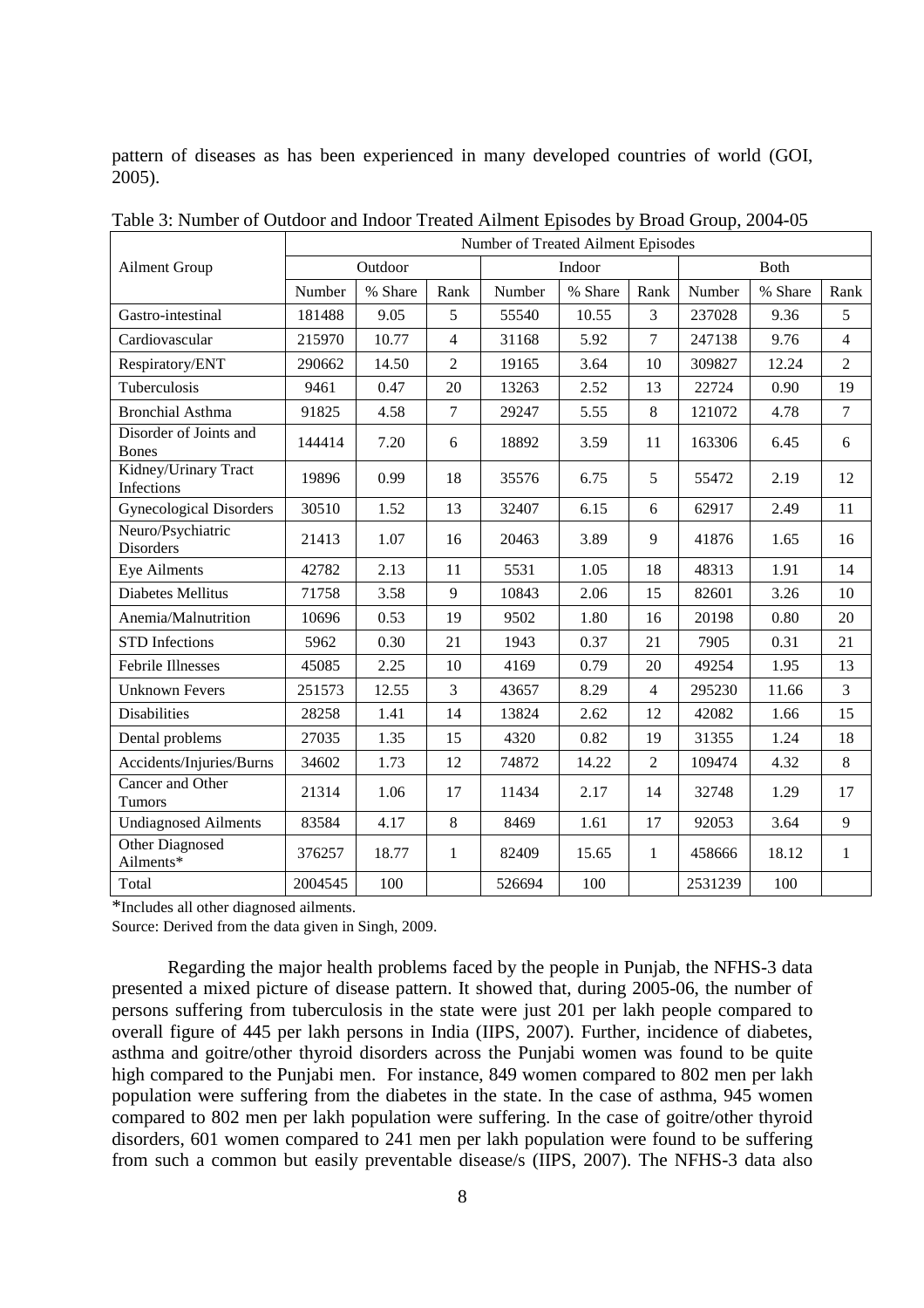pattern of diseases as has been experienced in many developed countries of world (GOI, 2005).

|                                        |         |         |                | Number of Treated Ailment Episodes |         |                |         |              |                |
|----------------------------------------|---------|---------|----------------|------------------------------------|---------|----------------|---------|--------------|----------------|
| <b>Ailment Group</b>                   |         | Outdoor |                |                                    | Indoor  |                |         | <b>B</b> oth |                |
|                                        | Number  | % Share | Rank           | Number                             | % Share | Rank           | Number  | % Share      | Rank           |
| Gastro-intestinal                      | 181488  | 9.05    | 5              | 55540                              | 10.55   | 3              | 237028  | 9.36         | 5              |
| Cardiovascular                         | 215970  | 10.77   | $\overline{4}$ | 31168                              | 5.92    | 7              | 247138  | 9.76         | $\overline{4}$ |
| Respiratory/ENT                        | 290662  | 14.50   | $\overline{2}$ | 19165                              | 3.64    | 10             | 309827  | 12.24        | $\overline{2}$ |
| Tuberculosis                           | 9461    | 0.47    | 20             | 13263                              | 2.52    | 13             | 22724   | 0.90         | 19             |
| <b>Bronchial Asthma</b>                | 91825   | 4.58    | $\overline{7}$ | 29247                              | 5.55    | $\,8\,$        | 121072  | 4.78         | $\overline{7}$ |
| Disorder of Joints and<br><b>Bones</b> | 144414  | 7.20    | 6              | 18892                              | 3.59    | 11             | 163306  | 6.45         | 6              |
| Kidney/Urinary Tract<br>Infections     | 19896   | 0.99    | 18             | 35576                              | 6.75    | 5              | 55472   | 2.19         | 12             |
| <b>Gynecological Disorders</b>         | 30510   | 1.52    | 13             | 32407                              | 6.15    | 6              | 62917   | 2.49         | 11             |
| Neuro/Psychiatric<br><b>Disorders</b>  | 21413   | 1.07    | 16             | 20463                              | 3.89    | 9              | 41876   | 1.65         | 16             |
| Eye Ailments                           | 42782   | 2.13    | 11             | 5531                               | 1.05    | 18             | 48313   | 1.91         | 14             |
| Diabetes Mellitus                      | 71758   | 3.58    | 9              | 10843                              | 2.06    | 15             | 82601   | 3.26         | 10             |
| Anemia/Malnutrition                    | 10696   | 0.53    | 19             | 9502                               | 1.80    | 16             | 20198   | 0.80         | 20             |
| <b>STD</b> Infections                  | 5962    | 0.30    | 21             | 1943                               | 0.37    | 21             | 7905    | 0.31         | 21             |
| <b>Febrile Illnesses</b>               | 45085   | 2.25    | 10             | 4169                               | 0.79    | 20             | 49254   | 1.95         | 13             |
| <b>Unknown Fevers</b>                  | 251573  | 12.55   | 3              | 43657                              | 8.29    | $\overline{4}$ | 295230  | 11.66        | $\overline{3}$ |
| <b>Disabilities</b>                    | 28258   | 1.41    | 14             | 13824                              | 2.62    | 12             | 42082   | 1.66         | 15             |
| Dental problems                        | 27035   | 1.35    | 15             | 4320                               | 0.82    | 19             | 31355   | 1.24         | 18             |
| Accidents/Injuries/Burns               | 34602   | 1.73    | 12             | 74872                              | 14.22   | $\overline{2}$ | 109474  | 4.32         | $\,8\,$        |
| Cancer and Other<br>Tumors             | 21314   | 1.06    | 17             | 11434                              | 2.17    | 14             | 32748   | 1.29         | 17             |
| <b>Undiagnosed Ailments</b>            | 83584   | 4.17    | 8              | 8469                               | 1.61    | 17             | 92053   | 3.64         | 9              |
| Other Diagnosed<br>Ailments*           | 376257  | 18.77   | $\mathbf{1}$   | 82409                              | 15.65   | $\mathbf{1}$   | 458666  | 18.12        | $\mathbf{1}$   |
| Total                                  | 2004545 | 100     |                | 526694                             | 100     |                | 2531239 | 100          |                |

Table 3: Number of Outdoor and Indoor Treated Ailment Episodes by Broad Group, 2004-05

\*Includes all other diagnosed ailments.

Source: Derived from the data given in Singh, 2009.

Regarding the major health problems faced by the people in Punjab, the NFHS-3 data presented a mixed picture of disease pattern. It showed that, during 2005-06, the number of persons suffering from tuberculosis in the state were just 201 per lakh people compared to overall figure of 445 per lakh persons in India (IIPS, 2007). Further, incidence of diabetes, asthma and goitre/other thyroid disorders across the Punjabi women was found to be quite high compared to the Punjabi men. For instance, 849 women compared to 802 men per lakh population were suffering from the diabetes in the state. In the case of asthma, 945 women compared to 802 men per lakh population were suffering. In the case of goitre/other thyroid disorders, 601 women compared to 241 men per lakh population were found to be suffering from such a common but easily preventable disease/s (IIPS, 2007). The NFHS-3 data also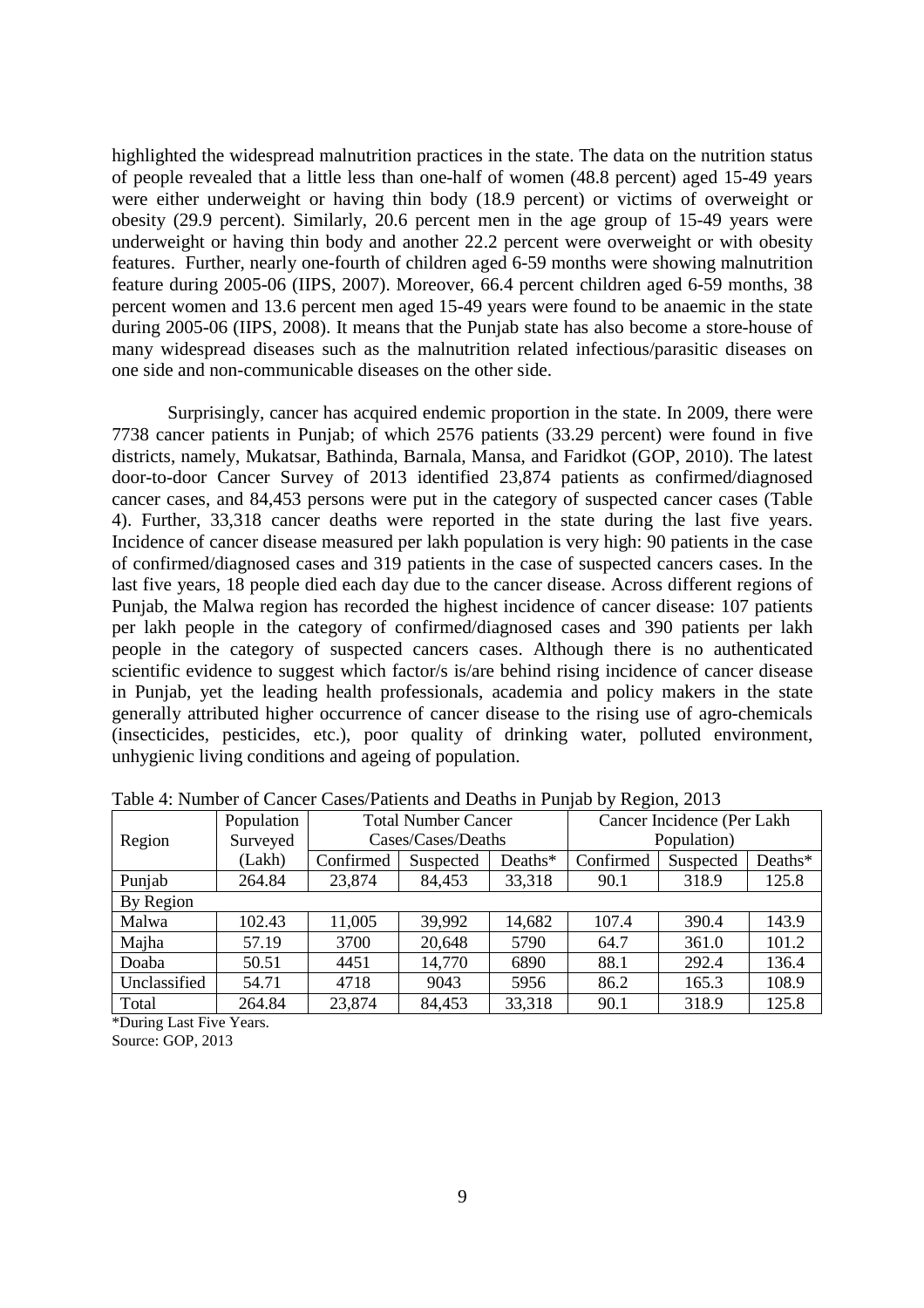highlighted the widespread malnutrition practices in the state. The data on the nutrition status of people revealed that a little less than one-half of women (48.8 percent) aged 15-49 years were either underweight or having thin body (18.9 percent) or victims of overweight or obesity (29.9 percent). Similarly, 20.6 percent men in the age group of 15-49 years were underweight or having thin body and another 22.2 percent were overweight or with obesity features. Further, nearly one-fourth of children aged 6-59 months were showing malnutrition feature during 2005-06 (IIPS, 2007). Moreover, 66.4 percent children aged 6-59 months, 38 percent women and 13.6 percent men aged 15-49 years were found to be anaemic in the state during 2005-06 (IIPS, 2008). It means that the Punjab state has also become a store-house of many widespread diseases such as the malnutrition related infectious/parasitic diseases on one side and non-communicable diseases on the other side.

Surprisingly, cancer has acquired endemic proportion in the state. In 2009, there were 7738 cancer patients in Punjab; of which 2576 patients (33.29 percent) were found in five districts, namely, Mukatsar, Bathinda, Barnala, Mansa, and Faridkot (GOP, 2010). The latest door-to-door Cancer Survey of 2013 identified 23,874 patients as confirmed/diagnosed cancer cases, and 84,453 persons were put in the category of suspected cancer cases (Table 4). Further, 33,318 cancer deaths were reported in the state during the last five years. Incidence of cancer disease measured per lakh population is very high: 90 patients in the case of confirmed/diagnosed cases and 319 patients in the case of suspected cancers cases. In the last five years, 18 people died each day due to the cancer disease. Across different regions of Punjab, the Malwa region has recorded the highest incidence of cancer disease: 107 patients per lakh people in the category of confirmed/diagnosed cases and 390 patients per lakh people in the category of suspected cancers cases. Although there is no authenticated scientific evidence to suggest which factor/s is/are behind rising incidence of cancer disease in Punjab, yet the leading health professionals, academia and policy makers in the state generally attributed higher occurrence of cancer disease to the rising use of agro-chemicals (insecticides, pesticides, etc.), poor quality of drinking water, polluted environment, unhygienic living conditions and ageing of population.

| Twore a residuole of cultural cubelly untermo unto Deutho in Funjuo o $\eta$ reegron, 2010 |            |              |                            |            |                            |           |         |  |  |  |
|--------------------------------------------------------------------------------------------|------------|--------------|----------------------------|------------|----------------------------|-----------|---------|--|--|--|
|                                                                                            | Population |              | <b>Total Number Cancer</b> |            | Cancer Incidence (Per Lakh |           |         |  |  |  |
| Region                                                                                     | Surveyed   |              | Cases/Cases/Deaths         |            | Population)                |           |         |  |  |  |
|                                                                                            | (Lakh)     | Confirmed    | Suspected                  | Deaths $*$ | Confirmed                  | Suspected | Deaths* |  |  |  |
| Punjab                                                                                     | 264.84     | 23,874       | 84,453                     | 33,318     | 90.1                       | 318.9     | 125.8   |  |  |  |
| By Region                                                                                  |            |              |                            |            |                            |           |         |  |  |  |
| Malwa                                                                                      | 102.43     | 11,005       | 39,992                     | 14,682     | 107.4                      | 390.4     | 143.9   |  |  |  |
| Majha                                                                                      | 57.19      | 3700         | 20,648                     | 5790       | 64.7                       | 361.0     | 101.2   |  |  |  |
| Doaba                                                                                      | 50.51      | 4451         | 14,770                     | 6890       | 88.1                       | 292.4     | 136.4   |  |  |  |
| Unclassified                                                                               | 54.71      | 4718<br>9043 |                            | 5956       | 86.2                       | 165.3     | 108.9   |  |  |  |
| Total                                                                                      | 264.84     | 23,874       | 84,453                     | 33,318     | 90.1                       | 318.9     | 125.8   |  |  |  |
|                                                                                            |            |              |                            |            |                            |           |         |  |  |  |

Table 4: Number of Cancer Cases/Patients and Deaths in Punjab by Region, 2013

\*During Last Five Years. Source: GOP, 2013

9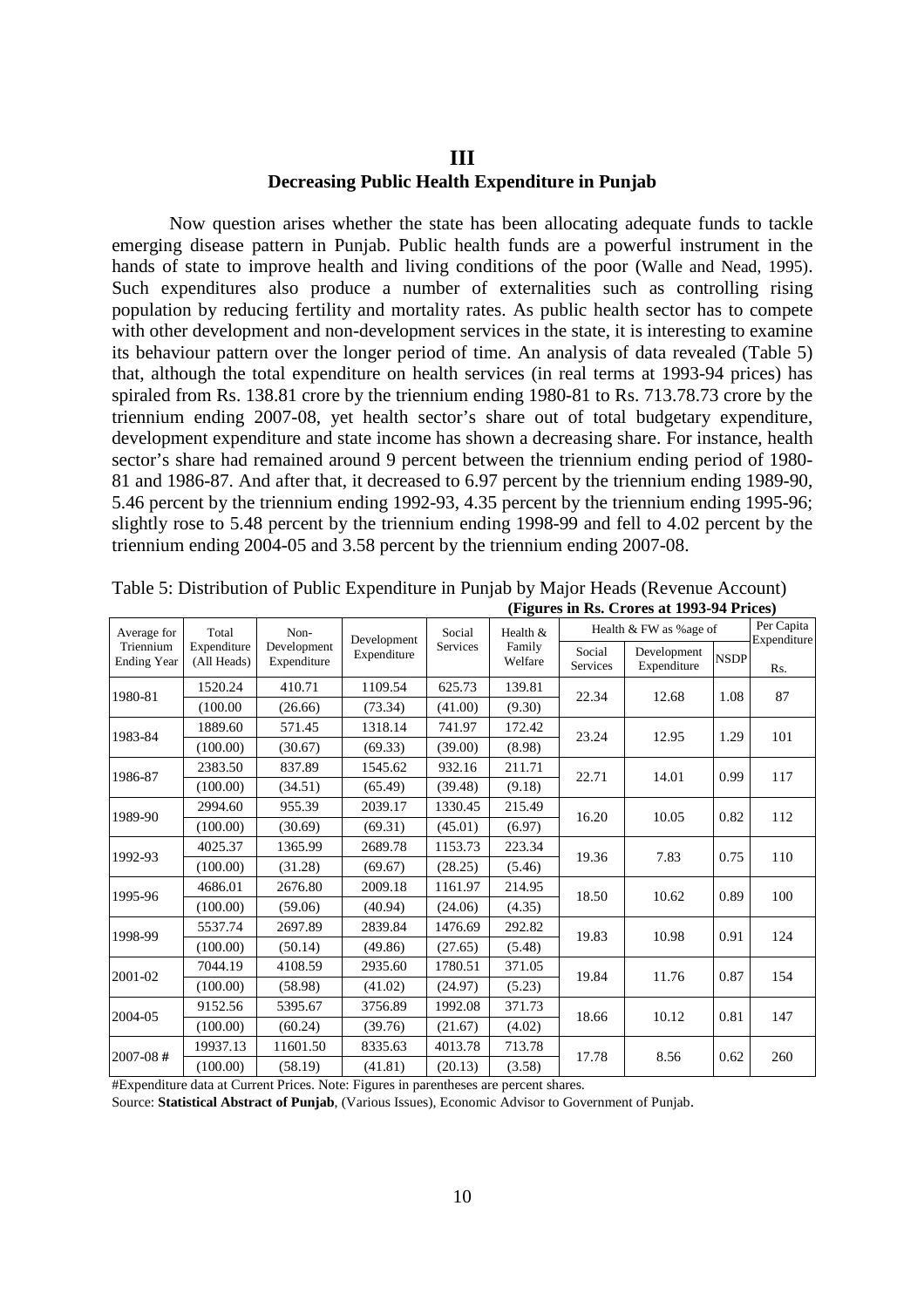## **III Decreasing Public Health Expenditure in Punjab**

Now question arises whether the state has been allocating adequate funds to tackle emerging disease pattern in Punjab. Public health funds are a powerful instrument in the hands of state to improve health and living conditions of the poor (Walle and Nead, 1995). Such expenditures also produce a number of externalities such as controlling rising population by reducing fertility and mortality rates. As public health sector has to compete with other development and non-development services in the state, it is interesting to examine its behaviour pattern over the longer period of time. An analysis of data revealed (Table 5) that, although the total expenditure on health services (in real terms at 1993-94 prices) has spiraled from Rs. 138.81 crore by the triennium ending 1980-81 to Rs. 713.78.73 crore by the triennium ending 2007-08, yet health sector's share out of total budgetary expenditure, development expenditure and state income has shown a decreasing share. For instance, health sector's share had remained around 9 percent between the triennium ending period of 1980- 81 and 1986-87. And after that, it decreased to 6.97 percent by the triennium ending 1989-90, 5.46 percent by the triennium ending 1992-93, 4.35 percent by the triennium ending 1995-96; slightly rose to 5.48 percent by the triennium ending 1998-99 and fell to 4.02 percent by the triennium ending 2004-05 and 3.58 percent by the triennium ending 2007-08.

| Average for                     | Total                      | Non-                       | Development                  | Social   | Health $&$                  |       | Health & FW as % age of    |             | Per Capita<br>Expenditure |
|---------------------------------|----------------------------|----------------------------|------------------------------|----------|-----------------------------|-------|----------------------------|-------------|---------------------------|
| Triennium<br><b>Ending Year</b> | Expenditure<br>(All Heads) | Development<br>Expenditure | Expenditure                  | Services | Family<br>Welfare<br>139.81 |       | Development<br>Expenditure | <b>NSDP</b> | Rs.                       |
| 1980-81                         | 1520.24                    | 410.71                     | 1109.54                      | 625.73   |                             | 22.34 | 12.68                      | 1.08        | 87                        |
|                                 | (100.00)                   | (26.66)                    | (41.00)<br>(9.30)<br>(73.34) |          |                             |       |                            |             |                           |
| 1983-84                         | 1889.60                    | 571.45                     | 1318.14                      | 741.97   | 172.42                      | 23.24 | 12.95                      | 1.29        | 101                       |
|                                 | (100.00)                   | (30.67)                    | (69.33)                      | (39.00)  | (8.98)                      |       |                            |             |                           |
| 1986-87                         | 2383.50                    | 837.89                     | 1545.62                      | 932.16   | 211.71                      | 22.71 | 14.01                      | 0.99        | 117                       |
|                                 | (100.00)                   | (34.51)                    | (65.49)                      | (39.48)  | (9.18)                      |       |                            |             |                           |
| 1989-90                         | 2994.60                    | 955.39                     | 2039.17                      | 1330.45  | 215.49                      | 16.20 | 10.05                      | 0.82        | 112                       |
|                                 | (100.00)                   | (30.69)                    | (69.31)                      | (45.01)  | (6.97)                      |       |                            |             |                           |
| 1992-93                         | 4025.37                    | 1365.99                    | 2689.78                      | 1153.73  | 223.34                      | 19.36 | 7.83                       | 0.75        | 110                       |
|                                 | (100.00)                   | (31.28)                    | (69.67)                      | (28.25)  | (5.46)                      |       |                            |             |                           |
| 1995-96                         | 4686.01                    | 2676.80                    | 2009.18                      | 1161.97  | 214.95                      | 18.50 | 10.62                      | 0.89        | 100                       |
|                                 | (100.00)                   | (59.06)                    | (40.94)                      | (24.06)  | (4.35)                      |       |                            |             |                           |
| 1998-99                         | 5537.74                    | 2697.89                    | 2839.84                      | 1476.69  | 292.82                      | 19.83 | 10.98                      | 0.91        | 124                       |
|                                 | (100.00)                   | (50.14)                    | (49.86)                      | (27.65)  | (5.48)                      |       |                            |             |                           |
| 2001-02                         | 7044.19                    | 4108.59                    | 2935.60                      | 1780.51  | 371.05                      | 19.84 | 11.76                      | 0.87        | 154                       |
|                                 | (100.00)                   | (58.98)                    | (41.02)                      | (24.97)  | (5.23)                      |       |                            |             |                           |
| 2004-05                         | 9152.56                    | 5395.67                    | 3756.89                      | 1992.08  | 371.73                      | 18.66 | 10.12                      | 0.81        | 147                       |
|                                 | (100.00)                   | (60.24)                    | (39.76)                      | (21.67)  | (4.02)                      |       |                            |             |                           |
| $2007 - 08$ #                   | 19937.13                   | 11601.50                   | 8335.63                      | 4013.78  | 713.78                      | 17.78 | 8.56                       |             | 260                       |
|                                 | (100.00)                   | (58.19)                    | (41.81)                      | (20.13)  | (3.58)                      |       |                            | 0.62        |                           |

Table 5: Distribution of Public Expenditure in Punjab by Major Heads (Revenue Account) **(Figures in Rs. Crores at 1993-94 Prices)** 

#Expenditure data at Current Prices. Note: Figures in parentheses are percent shares.

Source: **Statistical Abstract of Punjab**, (Various Issues), Economic Advisor to Government of Punjab.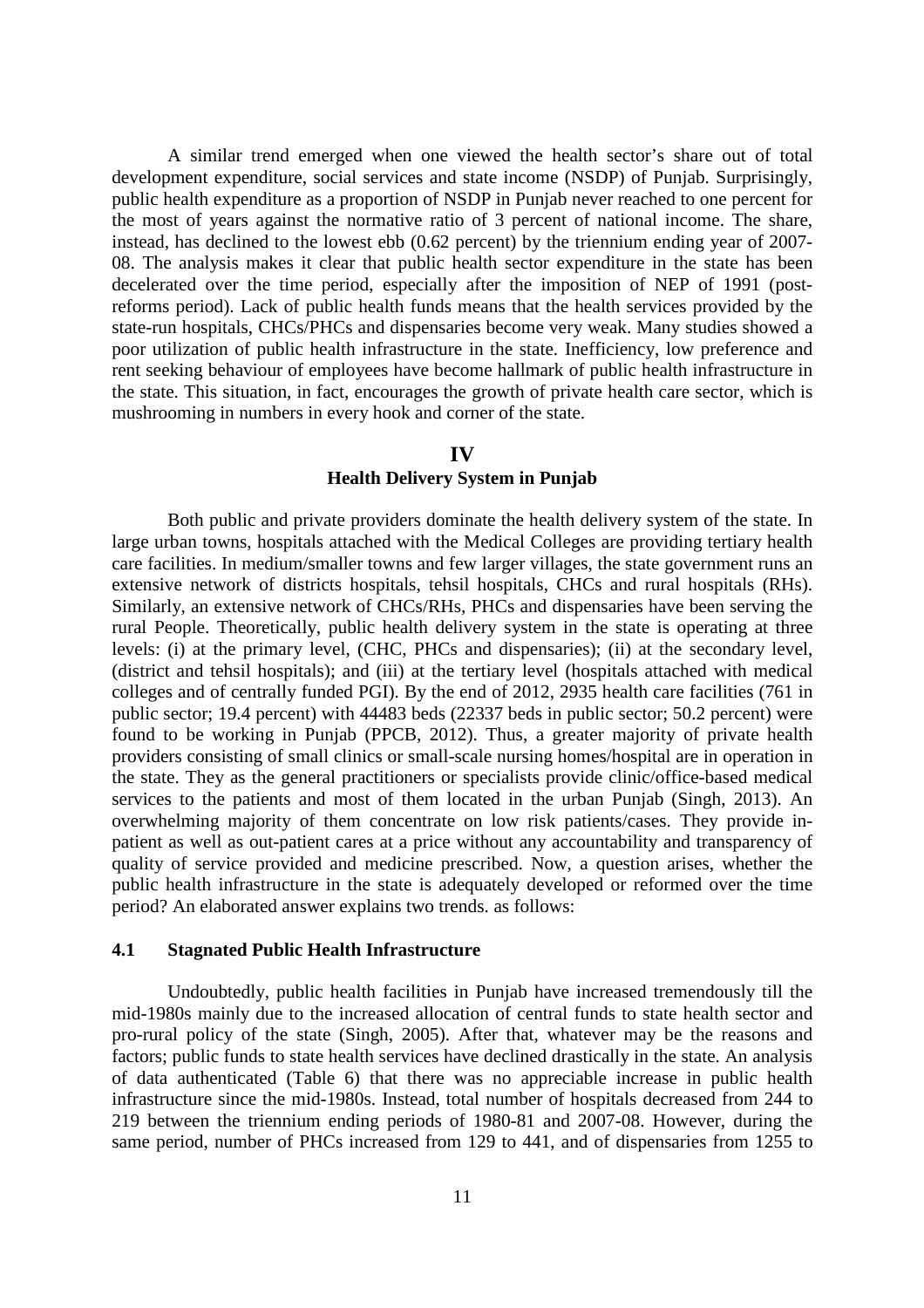A similar trend emerged when one viewed the health sector's share out of total development expenditure, social services and state income (NSDP) of Punjab. Surprisingly, public health expenditure as a proportion of NSDP in Punjab never reached to one percent for the most of years against the normative ratio of 3 percent of national income. The share, instead, has declined to the lowest ebb (0.62 percent) by the triennium ending year of 2007- 08. The analysis makes it clear that public health sector expenditure in the state has been decelerated over the time period, especially after the imposition of NEP of 1991 (postreforms period). Lack of public health funds means that the health services provided by the state-run hospitals, CHCs/PHCs and dispensaries become very weak. Many studies showed a poor utilization of public health infrastructure in the state. Inefficiency, low preference and rent seeking behaviour of employees have become hallmark of public health infrastructure in the state. This situation, in fact, encourages the growth of private health care sector, which is mushrooming in numbers in every hook and corner of the state.

### **IV**

### **Health Delivery System in Punjab**

 Both public and private providers dominate the health delivery system of the state. In large urban towns, hospitals attached with the Medical Colleges are providing tertiary health care facilities. In medium/smaller towns and few larger villages, the state government runs an extensive network of districts hospitals, tehsil hospitals, CHCs and rural hospitals (RHs). Similarly, an extensive network of CHCs/RHs, PHCs and dispensaries have been serving the rural People. Theoretically, public health delivery system in the state is operating at three levels: (i) at the primary level, (CHC, PHCs and dispensaries); (ii) at the secondary level, (district and tehsil hospitals); and (iii) at the tertiary level (hospitals attached with medical colleges and of centrally funded PGI). By the end of 2012, 2935 health care facilities (761 in public sector; 19.4 percent) with 44483 beds (22337 beds in public sector; 50.2 percent) were found to be working in Punjab (PPCB, 2012). Thus, a greater majority of private health providers consisting of small clinics or small-scale nursing homes/hospital are in operation in the state. They as the general practitioners or specialists provide clinic/office-based medical services to the patients and most of them located in the urban Punjab (Singh, 2013). An overwhelming majority of them concentrate on low risk patients/cases. They provide inpatient as well as out-patient cares at a price without any accountability and transparency of quality of service provided and medicine prescribed. Now, a question arises, whether the public health infrastructure in the state is adequately developed or reformed over the time period? An elaborated answer explains two trends. as follows:

#### **4.1 Stagnated Public Health Infrastructure**

 Undoubtedly, public health facilities in Punjab have increased tremendously till the mid-1980s mainly due to the increased allocation of central funds to state health sector and pro-rural policy of the state (Singh, 2005). After that, whatever may be the reasons and factors; public funds to state health services have declined drastically in the state. An analysis of data authenticated (Table 6) that there was no appreciable increase in public health infrastructure since the mid-1980s. Instead, total number of hospitals decreased from 244 to 219 between the triennium ending periods of 1980-81 and 2007-08. However, during the same period, number of PHCs increased from 129 to 441, and of dispensaries from 1255 to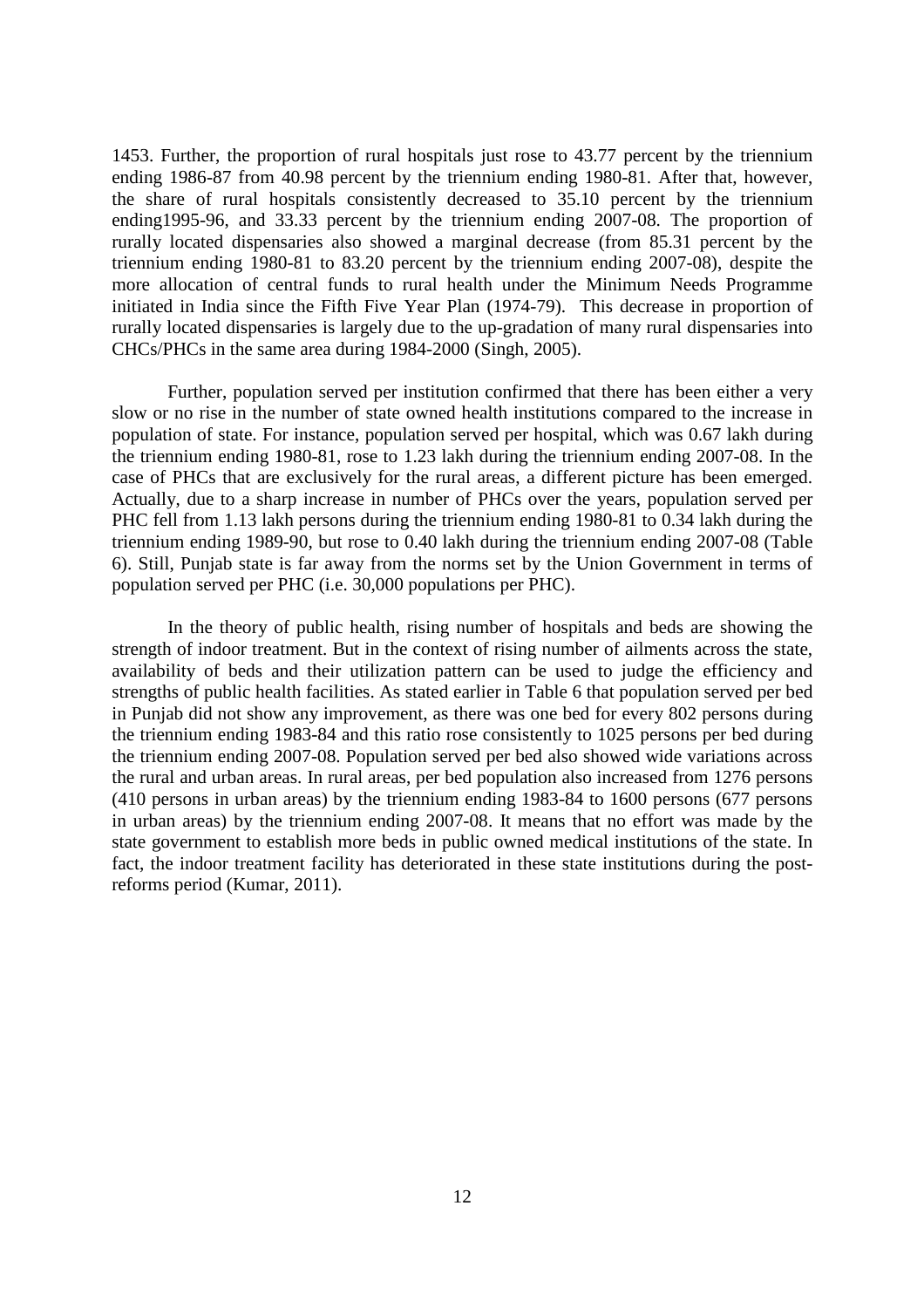1453. Further, the proportion of rural hospitals just rose to 43.77 percent by the triennium ending 1986-87 from 40.98 percent by the triennium ending 1980-81. After that, however, the share of rural hospitals consistently decreased to 35.10 percent by the triennium ending1995-96, and 33.33 percent by the triennium ending 2007-08. The proportion of rurally located dispensaries also showed a marginal decrease (from 85.31 percent by the triennium ending 1980-81 to 83.20 percent by the triennium ending 2007-08), despite the more allocation of central funds to rural health under the Minimum Needs Programme initiated in India since the Fifth Five Year Plan (1974-79). This decrease in proportion of rurally located dispensaries is largely due to the up-gradation of many rural dispensaries into CHCs/PHCs in the same area during 1984-2000 (Singh, 2005).

Further, population served per institution confirmed that there has been either a very slow or no rise in the number of state owned health institutions compared to the increase in population of state. For instance, population served per hospital, which was 0.67 lakh during the triennium ending 1980-81, rose to 1.23 lakh during the triennium ending 2007-08. In the case of PHCs that are exclusively for the rural areas, a different picture has been emerged. Actually, due to a sharp increase in number of PHCs over the years, population served per PHC fell from 1.13 lakh persons during the triennium ending 1980-81 to 0.34 lakh during the triennium ending 1989-90, but rose to 0.40 lakh during the triennium ending 2007-08 (Table 6). Still, Punjab state is far away from the norms set by the Union Government in terms of population served per PHC (i.e. 30,000 populations per PHC).

In the theory of public health, rising number of hospitals and beds are showing the strength of indoor treatment. But in the context of rising number of ailments across the state, availability of beds and their utilization pattern can be used to judge the efficiency and strengths of public health facilities. As stated earlier in Table 6 that population served per bed in Punjab did not show any improvement, as there was one bed for every 802 persons during the triennium ending 1983-84 and this ratio rose consistently to 1025 persons per bed during the triennium ending 2007-08. Population served per bed also showed wide variations across the rural and urban areas. In rural areas, per bed population also increased from 1276 persons (410 persons in urban areas) by the triennium ending 1983-84 to 1600 persons (677 persons in urban areas) by the triennium ending 2007-08. It means that no effort was made by the state government to establish more beds in public owned medical institutions of the state. In fact, the indoor treatment facility has deteriorated in these state institutions during the postreforms period (Kumar, 2011).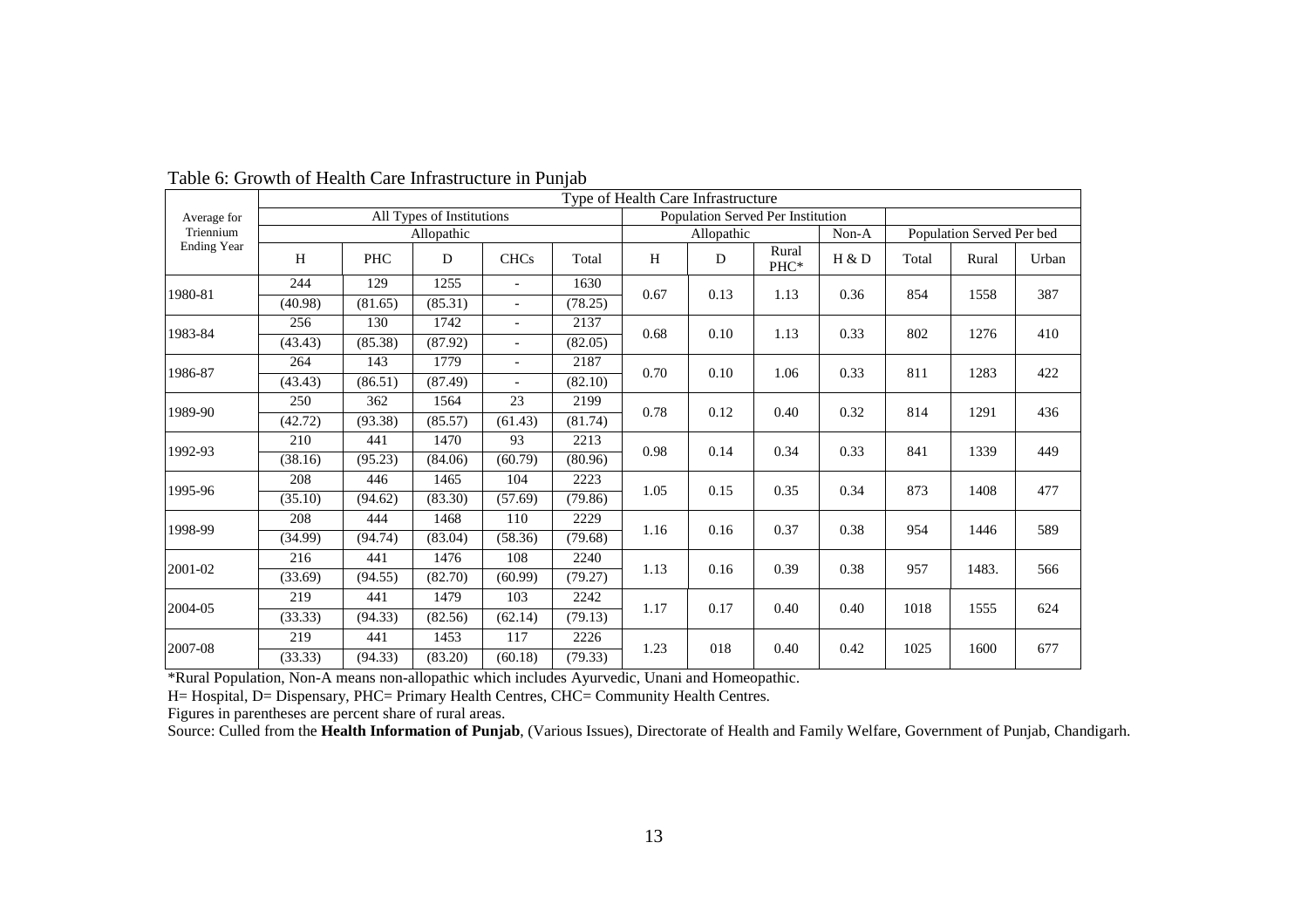|                                                                                                |         |            |                                                                |                             |         |      | Type of Health Care Infrastructure |               |       |       |                           |       |
|------------------------------------------------------------------------------------------------|---------|------------|----------------------------------------------------------------|-----------------------------|---------|------|------------------------------------|---------------|-------|-------|---------------------------|-------|
| Average for                                                                                    |         |            | All Types of Institutions                                      |                             |         |      | Population Served Per Institution  |               |       |       |                           |       |
| Triennium                                                                                      |         |            | Allopathic                                                     |                             |         |      | Allopathic                         |               | Non-A |       | Population Served Per bed |       |
| <b>Ending Year</b>                                                                             | H       | <b>PHC</b> | D                                                              | <b>CHCs</b>                 | Total   | H    | D                                  | Rural<br>PHC* | H & D | Total | Rural                     | Urban |
|                                                                                                | 244     | 129        | 1255                                                           |                             | 1630    |      |                                    |               |       |       |                           |       |
| 1980-81                                                                                        | (40.98) | (81.65)    | 0.67<br>(85.31)<br>(78.25)<br>$\blacksquare$<br>$\overline{a}$ | 0.13                        | 1.13    | 0.36 | 854                                | 1558          | 387   |       |                           |       |
|                                                                                                | 256     | 130        | 1742                                                           |                             | 2137    |      |                                    |               |       |       |                           |       |
| 1983-84                                                                                        | (43.43) | (85.38)    | (87.92)                                                        | $\mathcal{L}^{\mathcal{L}}$ | (82.05) | 0.68 | 0.10                               | 1.13          | 0.33  | 802   | 1276                      | 410   |
|                                                                                                | 264     | 143        | 1779                                                           | $\overline{\phantom{a}}$    | 2187    |      |                                    |               |       |       |                           |       |
| 1986-87                                                                                        | (43.43) | (86.51)    | (87.49)                                                        |                             | (82.10) | 0.70 | 0.10                               | 1.06          | 0.33  | 811   | 1283                      | 422   |
|                                                                                                | 250     | 362        | 1564                                                           | 23                          | 2199    |      |                                    |               |       |       |                           |       |
| 1989-90                                                                                        | (42.72) | (93.38)    | (85.57)                                                        | (61.43)                     | (81.74) | 0.78 | 0.12                               | 0.40          | 0.32  | 814   | 1291                      | 436   |
|                                                                                                | 210     | 441        | 1470                                                           | 93                          | 2213    |      |                                    |               |       |       |                           | 449   |
| 1992-93                                                                                        | (38.16) | (95.23)    | (84.06)                                                        | (60.79)                     | (80.96) | 0.98 | 0.14                               | 0.34          | 0.33  | 841   | 1339                      |       |
|                                                                                                | 208     | 446        | 1465                                                           | 104                         | 2223    |      |                                    |               |       |       |                           |       |
| 1995-96                                                                                        | (35.10) | (94.62)    | (83.30)                                                        | (57.69)                     | (79.86) | 1.05 | 0.15                               | 0.35          | 0.34  | 873   | 1408                      | 477   |
|                                                                                                | 208     | 444        | 1468                                                           | 110                         | 2229    |      |                                    |               |       |       |                           |       |
| 1998-99                                                                                        | (34.99) | (94.74)    | (83.04)                                                        | (58.36)                     | (79.68) | 1.16 | 0.16                               | 0.37          | 0.38  | 954   | 1446                      | 589   |
|                                                                                                | 216     | 441        | 1476                                                           | 108                         | 2240    |      |                                    |               |       |       |                           |       |
| 2001-02                                                                                        | (33.69) | (94.55)    | (82.70)                                                        | (60.99)                     | (79.27) | 1.13 | 0.16                               | 0.39          | 0.38  | 957   | 1483.                     | 566   |
|                                                                                                | 219     | 441        | 1479                                                           | 103                         | 2242    |      |                                    |               |       |       |                           |       |
| 2004-05                                                                                        | (33.33) | (94.33)    | (82.56)                                                        | (62.14)                     | (79.13) | 1.17 | 0.17                               | 0.40          | 0.40  | 1018  | 1555                      | 624   |
|                                                                                                | 219     | 441        | 1453                                                           | 117                         | 2226    |      |                                    |               |       |       |                           |       |
| 2007-08                                                                                        | (33.33) | (94.33)    | (83.20)                                                        | (60.18)                     | (79.33) | 1.23 | 018                                | 0.40          | 0.42  | 1025  | 1600                      | 677   |
| *Rural Population, Non-A means non-allopathic which includes Ayurvedic, Unani and Homeopathic. |         |            |                                                                |                             |         |      |                                    |               |       |       |                           |       |
| H= Hospital, D= Dispensary, PHC= Primary Health Centres, CHC= Community Health Centres.        |         |            |                                                                |                             |         |      |                                    |               |       |       |                           |       |
| Figures in parentheses are percent share of rural areas.                                       |         |            |                                                                |                             |         |      |                                    |               |       |       |                           |       |

Table 6: Growth of Health Care Infrastructure in Punjab

Source: Culled from the Health Information of Punjab, (Various Issues), Directorate of Health and Family Welfare, Government of Punjab, Chandigarh.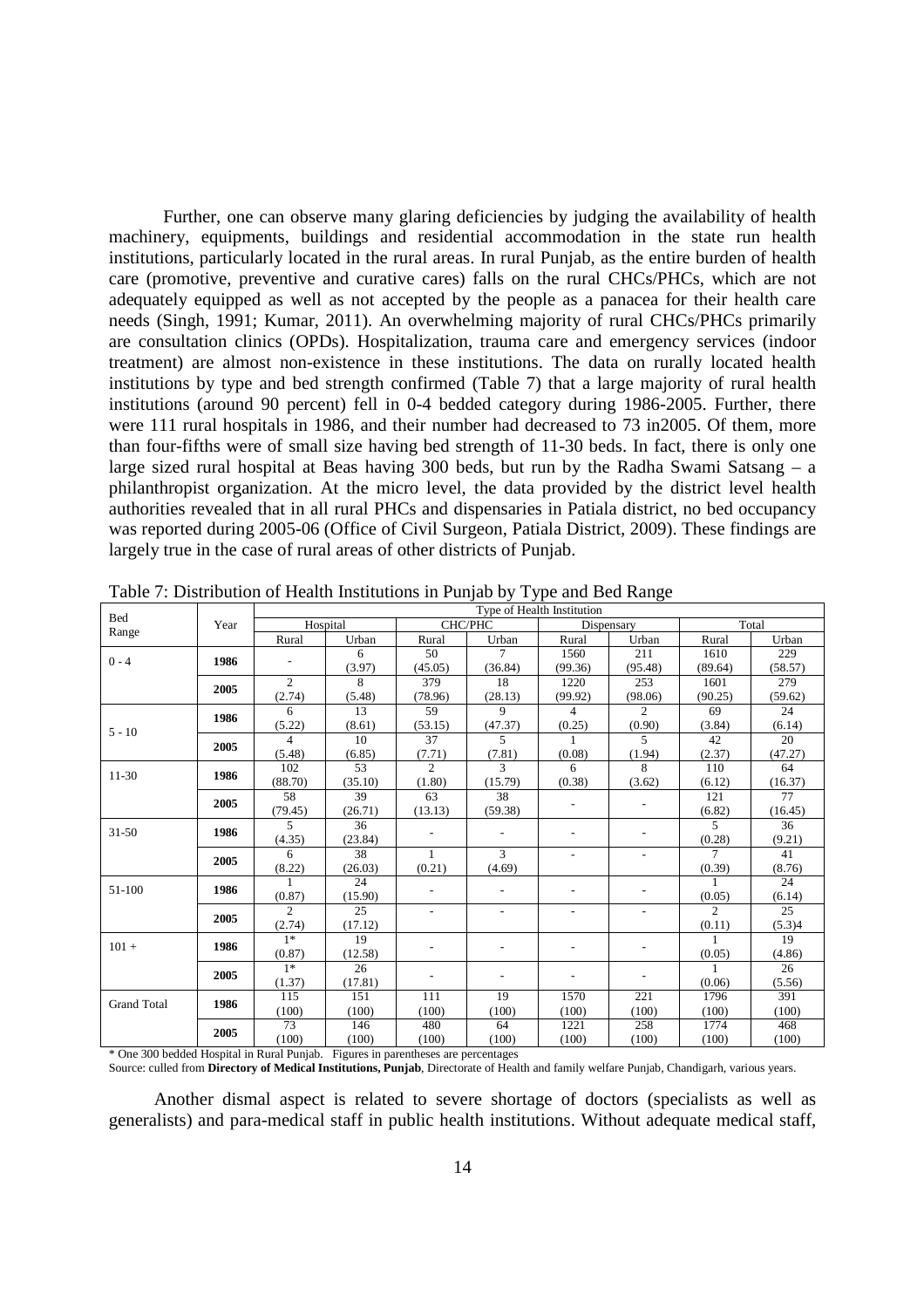Further, one can observe many glaring deficiencies by judging the availability of health machinery, equipments, buildings and residential accommodation in the state run health institutions, particularly located in the rural areas. In rural Punjab, as the entire burden of health care (promotive, preventive and curative cares) falls on the rural CHCs/PHCs, which are not adequately equipped as well as not accepted by the people as a panacea for their health care needs (Singh, 1991; Kumar, 2011). An overwhelming majority of rural CHCs/PHCs primarily are consultation clinics (OPDs). Hospitalization, trauma care and emergency services (indoor treatment) are almost non-existence in these institutions. The data on rurally located health institutions by type and bed strength confirmed (Table 7) that a large majority of rural health institutions (around 90 percent) fell in 0-4 bedded category during 1986-2005. Further, there were 111 rural hospitals in 1986, and their number had decreased to 73 in2005. Of them, more than four-fifths were of small size having bed strength of 11-30 beds. In fact, there is only one large sized rural hospital at Beas having 300 beds, but run by the Radha Swami Satsang – a philanthropist organization. At the micro level, the data provided by the district level health authorities revealed that in all rural PHCs and dispensaries in Patiala district, no bed occupancy was reported during 2005-06 (Office of Civil Surgeon, Patiala District, 2009). These findings are largely true in the case of rural areas of other districts of Punjab.

| <b>Bed</b>         |      |                          |          |                          |                          | Type of Health Institution |                          |                |         |
|--------------------|------|--------------------------|----------|--------------------------|--------------------------|----------------------------|--------------------------|----------------|---------|
|                    | Year |                          | Hospital | CHC/PHC                  |                          | Dispensary                 |                          |                | Total   |
| Range              |      | Rural                    | Urban    | Rural                    | Urban                    | Rural                      | Urban                    | Rural          | Urban   |
|                    |      |                          | 6        | 50                       | $\tau$                   | 1560                       | 211                      | 1610           | 229     |
| $0 - 4$            | 1986 | $\overline{\phantom{0}}$ | (3.97)   | (45.05)                  | (36.84)                  | (99.36)                    | (95.48)                  | (89.64)        | (58.57) |
|                    |      | $\overline{2}$           | 8        | 379                      | 18                       | 1220                       | 253                      | 1601           | 279     |
|                    | 2005 | (2.74)                   | (5.48)   | (78.96)                  | (28.13)                  | (99.92)                    | (98.06)                  | (90.25)        | (59.62) |
|                    | 1986 | 6                        | 13       | 59                       | 9                        | 4                          | $\overline{2}$           | 69             | 24      |
| $5 - 10$           |      | (5.22)                   | (8.61)   | (53.15)                  | (47.37)                  | (0.25)                     | (0.90)                   | (3.84)         | (6.14)  |
|                    | 2005 | $\overline{4}$           | 10       | 37                       | 5                        |                            | 5                        | 42             | 20      |
|                    |      | (5.48)                   | (6.85)   | (7.71)                   | (7.81)                   | (0.08)                     | (1.94)                   | (2.37)         | (47.27) |
| $11-30$            | 1986 | 102                      | 53       | $\overline{2}$           | 3                        | 6                          | 8                        | 110            | 64      |
|                    |      | (88.70)                  | (35.10)  | (1.80)                   | (15.79)                  | (0.38)                     | (3.62)                   | (6.12)         | (16.37) |
|                    | 2005 | 58                       | 39       | 63                       | 38                       |                            | $\overline{\phantom{a}}$ | 121            | 77      |
|                    |      | (79.45)                  | (26.71)  | (13.13)                  | (59.38)                  |                            |                          | (6.82)         | (16.45) |
| $31 - 50$          | 1986 | 5                        | 36       |                          | $\overline{\phantom{a}}$ |                            |                          | $\overline{5}$ | 36      |
|                    |      | (4.35)                   | (23.84)  |                          |                          |                            |                          | (0.28)         | (9.21)  |
|                    | 2005 | 6                        | 38       | $\mathbf{1}$             | $\overline{3}$           |                            | $\overline{\phantom{0}}$ | $\overline{7}$ | 41      |
|                    |      | (8.22)                   | (26.03)  | (0.21)                   | (4.69)                   |                            |                          | (0.39)         | (8.76)  |
| 51-100             | 1986 |                          | 24       |                          |                          |                            |                          |                | 24      |
|                    |      | (0.87)                   | (15.90)  |                          |                          |                            |                          | (0.05)         | (6.14)  |
|                    | 2005 | $\overline{c}$           | 25       | $\overline{\phantom{a}}$ | $\overline{\phantom{a}}$ | $\overline{\phantom{a}}$   | $\overline{\phantom{a}}$ | $\overline{2}$ | 25      |
|                    |      | (2.74)                   | (17.12)  |                          |                          |                            |                          | (0.11)         | (5.3)4  |
| $101 +$            | 1986 | $1*$                     | 19       | $\overline{\phantom{a}}$ | $\overline{\phantom{0}}$ | $\overline{\phantom{a}}$   | $\overline{\phantom{a}}$ | $\mathbf{1}$   | 19      |
|                    |      | (0.87)                   | (12.58)  |                          |                          |                            |                          | (0.05)         | (4.86)  |
|                    | 2005 | $1*$                     | 26       |                          | $\overline{\phantom{a}}$ |                            |                          |                | 26      |
|                    |      | (1.37)                   | (17.81)  |                          |                          |                            |                          | (0.06)         | (5.56)  |
| <b>Grand Total</b> | 1986 | 115                      | 151      | 111                      | 19                       | 1570                       | 221                      | 1796           | 391     |
|                    |      | (100)                    | (100)    | (100)                    | (100)                    | (100)                      | (100)                    | (100)          | (100)   |
|                    | 2005 | 73                       | 146      | 480                      | 64                       | 1221                       | 258                      | 1774           | 468     |
|                    |      | (100)                    | (100)    | (100)                    | (100)                    | (100)                      | (100)                    | (100)          | (100)   |

Table 7: Distribution of Health Institutions in Punjab by Type and Bed Range

\* One 300 bedded Hospital in Rural Punjab. Figures in parentheses are percentages Source: culled from **Directory of Medical Institutions, Punjab**, Directorate of Health and family welfare Punjab, Chandigarh, various years.

 Another dismal aspect is related to severe shortage of doctors (specialists as well as generalists) and para-medical staff in public health institutions. Without adequate medical staff,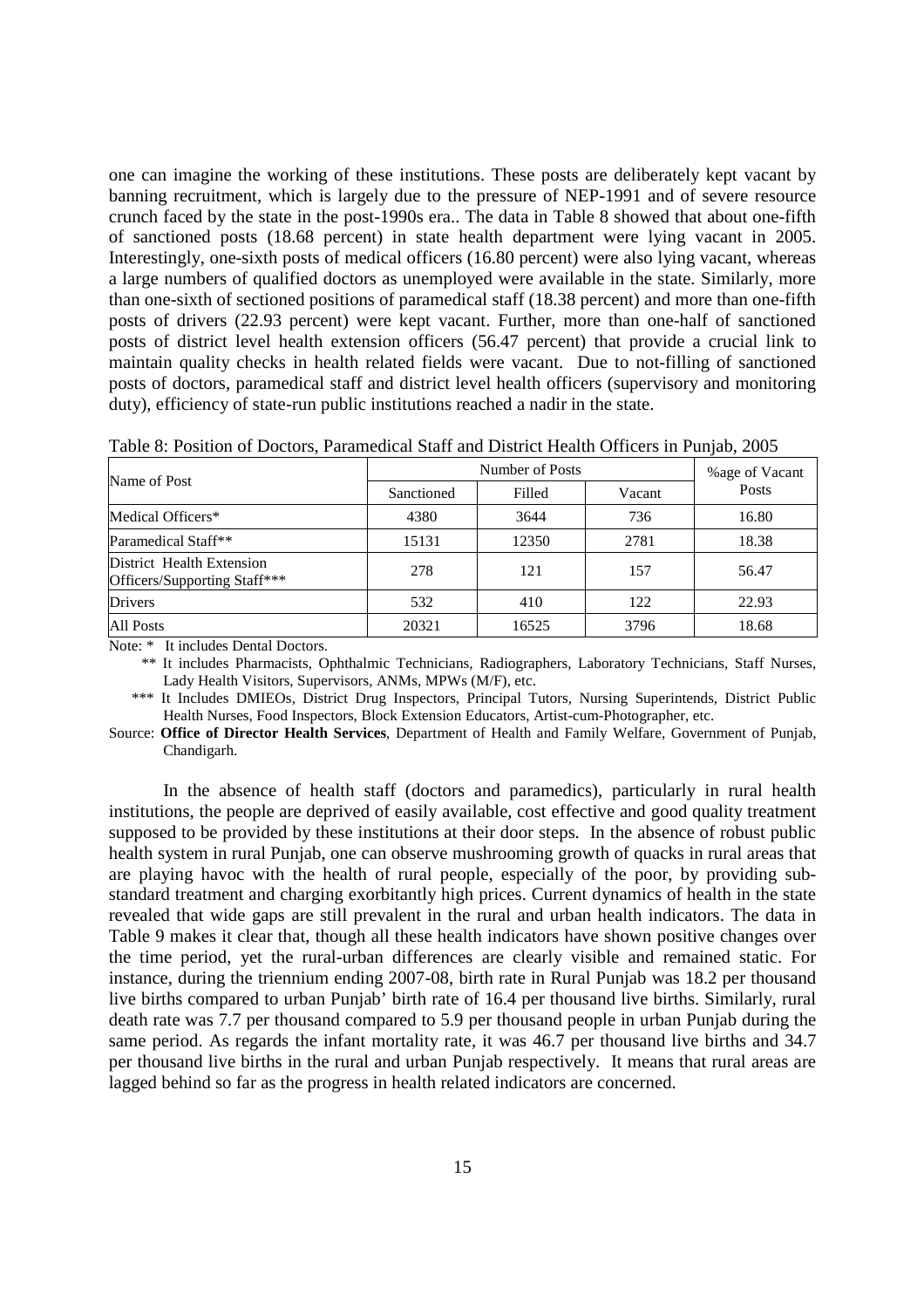one can imagine the working of these institutions. These posts are deliberately kept vacant by banning recruitment, which is largely due to the pressure of NEP-1991 and of severe resource crunch faced by the state in the post-1990s era.. The data in Table 8 showed that about one-fifth of sanctioned posts (18.68 percent) in state health department were lying vacant in 2005. Interestingly, one-sixth posts of medical officers (16.80 percent) were also lying vacant, whereas a large numbers of qualified doctors as unemployed were available in the state. Similarly, more than one-sixth of sectioned positions of paramedical staff (18.38 percent) and more than one-fifth posts of drivers (22.93 percent) were kept vacant. Further, more than one-half of sanctioned posts of district level health extension officers (56.47 percent) that provide a crucial link to maintain quality checks in health related fields were vacant. Due to not-filling of sanctioned posts of doctors, paramedical staff and district level health officers (supervisory and monitoring duty), efficiency of state-run public institutions reached a nadir in the state.

| Name of Post                                              |            | %age of Vacant |        |       |
|-----------------------------------------------------------|------------|----------------|--------|-------|
|                                                           | Sanctioned | Filled         | Vacant | Posts |
| Medical Officers*                                         | 4380       | 3644           | 736    | 16.80 |
| Paramedical Staff**                                       | 15131      | 12350          | 2781   | 18.38 |
| District Health Extension<br>Officers/Supporting Staff*** | 278        | 121            | 157    | 56.47 |
| <b>Drivers</b>                                            | 532        | 410            | 122    | 22.93 |
| All Posts                                                 | 20321      | 16525          | 3796   | 18.68 |

Table 8: Position of Doctors, Paramedical Staff and District Health Officers in Punjab, 2005

Note: \* It includes Dental Doctors.

\*\* It includes Pharmacists, Ophthalmic Technicians, Radiographers, Laboratory Technicians, Staff Nurses, Lady Health Visitors, Supervisors, ANMs, MPWs (M/F), etc.

 \*\*\* It Includes DMIEOs, District Drug Inspectors, Principal Tutors, Nursing Superintends, District Public Health Nurses, Food Inspectors, Block Extension Educators, Artist-cum-Photographer, etc.

Source: **Office of Director Health Services**, Department of Health and Family Welfare, Government of Punjab, Chandigarh.

In the absence of health staff (doctors and paramedics), particularly in rural health institutions, the people are deprived of easily available, cost effective and good quality treatment supposed to be provided by these institutions at their door steps. In the absence of robust public health system in rural Punjab, one can observe mushrooming growth of quacks in rural areas that are playing havoc with the health of rural people, especially of the poor, by providing substandard treatment and charging exorbitantly high prices. Current dynamics of health in the state revealed that wide gaps are still prevalent in the rural and urban health indicators. The data in Table 9 makes it clear that, though all these health indicators have shown positive changes over the time period, yet the rural-urban differences are clearly visible and remained static. For instance, during the triennium ending 2007-08, birth rate in Rural Punjab was 18.2 per thousand live births compared to urban Punjab' birth rate of 16.4 per thousand live births. Similarly, rural death rate was 7.7 per thousand compared to 5.9 per thousand people in urban Punjab during the same period. As regards the infant mortality rate, it was 46.7 per thousand live births and 34.7 per thousand live births in the rural and urban Punjab respectively. It means that rural areas are lagged behind so far as the progress in health related indicators are concerned.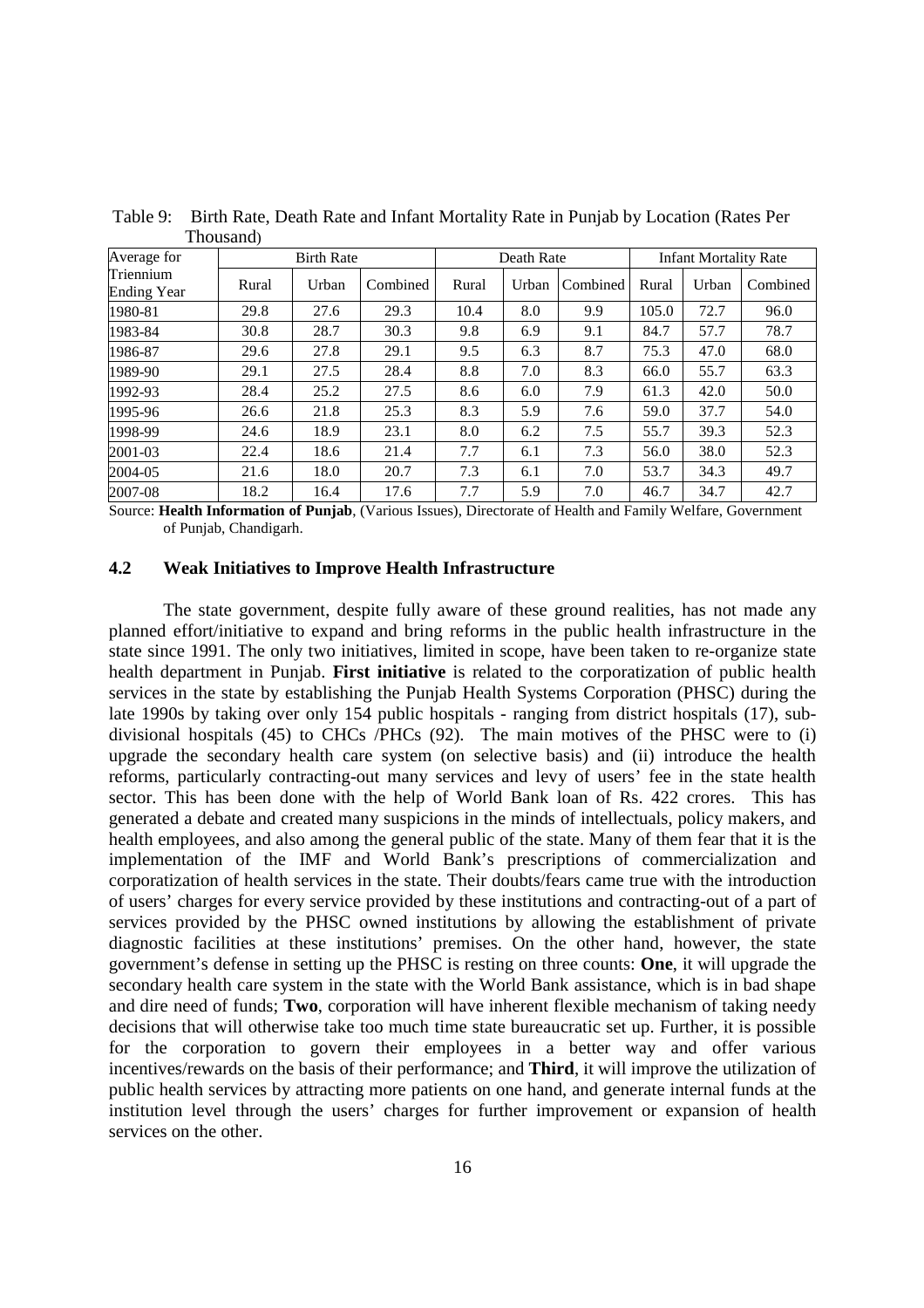|                                 | THOUSHIGHT |                   |          |       |            |          |       |                              |          |  |
|---------------------------------|------------|-------------------|----------|-------|------------|----------|-------|------------------------------|----------|--|
| Average for                     |            | <b>Birth Rate</b> |          |       | Death Rate |          |       | <b>Infant Mortality Rate</b> |          |  |
| Triennium<br><b>Ending Year</b> | Rural      | Urban             | Combined | Rural | Urban      | Combined | Rural | Urban                        | Combined |  |
| 1980-81                         | 29.8       | 27.6              | 29.3     | 10.4  | 8.0        | 9.9      | 105.0 | 72.7                         | 96.0     |  |
| 1983-84                         | 30.8       | 28.7              | 30.3     | 9.8   | 6.9        | 9.1      | 84.7  | 57.7                         | 78.7     |  |
| 1986-87                         | 29.6       | 27.8              | 29.1     | 9.5   | 6.3        | 8.7      | 75.3  | 47.0                         | 68.0     |  |
| 1989-90                         | 29.1       | 27.5              | 28.4     | 8.8   | 7.0        | 8.3      | 66.0  | 55.7                         | 63.3     |  |
| 1992-93                         | 28.4       | 25.2              | 27.5     | 8.6   | 6.0        | 7.9      | 61.3  | 42.0                         | 50.0     |  |
| 1995-96                         | 26.6       | 21.8              | 25.3     | 8.3   | 5.9        | 7.6      | 59.0  | 37.7                         | 54.0     |  |
| 1998-99                         | 24.6       | 18.9              | 23.1     | 8.0   | 6.2        | 7.5      | 55.7  | 39.3                         | 52.3     |  |
| 2001-03                         | 22.4       | 18.6              | 21.4     | 7.7   | 6.1        | 7.3      | 56.0  | 38.0                         | 52.3     |  |
| 2004-05                         | 21.6       | 18.0              | 20.7     | 7.3   | 6.1        | 7.0      | 53.7  | 34.3                         | 49.7     |  |
| 2007-08                         | 18.2       | 16.4              | 17.6     | 7.7   | 5.9        | 7.0      | 46.7  | 34.7                         | 42.7     |  |

Table 9: Birth Rate, Death Rate and Infant Mortality Rate in Punjab by Location (Rates Per Thousand)

Source: **Health Information of Punjab**, (Various Issues), Directorate of Health and Family Welfare, Government of Punjab, Chandigarh.

#### **4.2 Weak Initiatives to Improve Health Infrastructure**

 The state government, despite fully aware of these ground realities, has not made any planned effort/initiative to expand and bring reforms in the public health infrastructure in the state since 1991. The only two initiatives, limited in scope, have been taken to re-organize state health department in Punjab. **First initiative** is related to the corporatization of public health services in the state by establishing the Punjab Health Systems Corporation (PHSC) during the late 1990s by taking over only 154 public hospitals - ranging from district hospitals (17), subdivisional hospitals (45) to CHCs /PHCs (92). The main motives of the PHSC were to (i) upgrade the secondary health care system (on selective basis) and (ii) introduce the health reforms, particularly contracting-out many services and levy of users' fee in the state health sector. This has been done with the help of World Bank loan of Rs. 422 crores. This has generated a debate and created many suspicions in the minds of intellectuals, policy makers, and health employees, and also among the general public of the state. Many of them fear that it is the implementation of the IMF and World Bank's prescriptions of commercialization and corporatization of health services in the state. Their doubts/fears came true with the introduction of users' charges for every service provided by these institutions and contracting-out of a part of services provided by the PHSC owned institutions by allowing the establishment of private diagnostic facilities at these institutions' premises. On the other hand, however, the state government's defense in setting up the PHSC is resting on three counts: **One**, it will upgrade the secondary health care system in the state with the World Bank assistance, which is in bad shape and dire need of funds; **Two**, corporation will have inherent flexible mechanism of taking needy decisions that will otherwise take too much time state bureaucratic set up. Further, it is possible for the corporation to govern their employees in a better way and offer various incentives/rewards on the basis of their performance; and **Third**, it will improve the utilization of public health services by attracting more patients on one hand, and generate internal funds at the institution level through the users' charges for further improvement or expansion of health services on the other.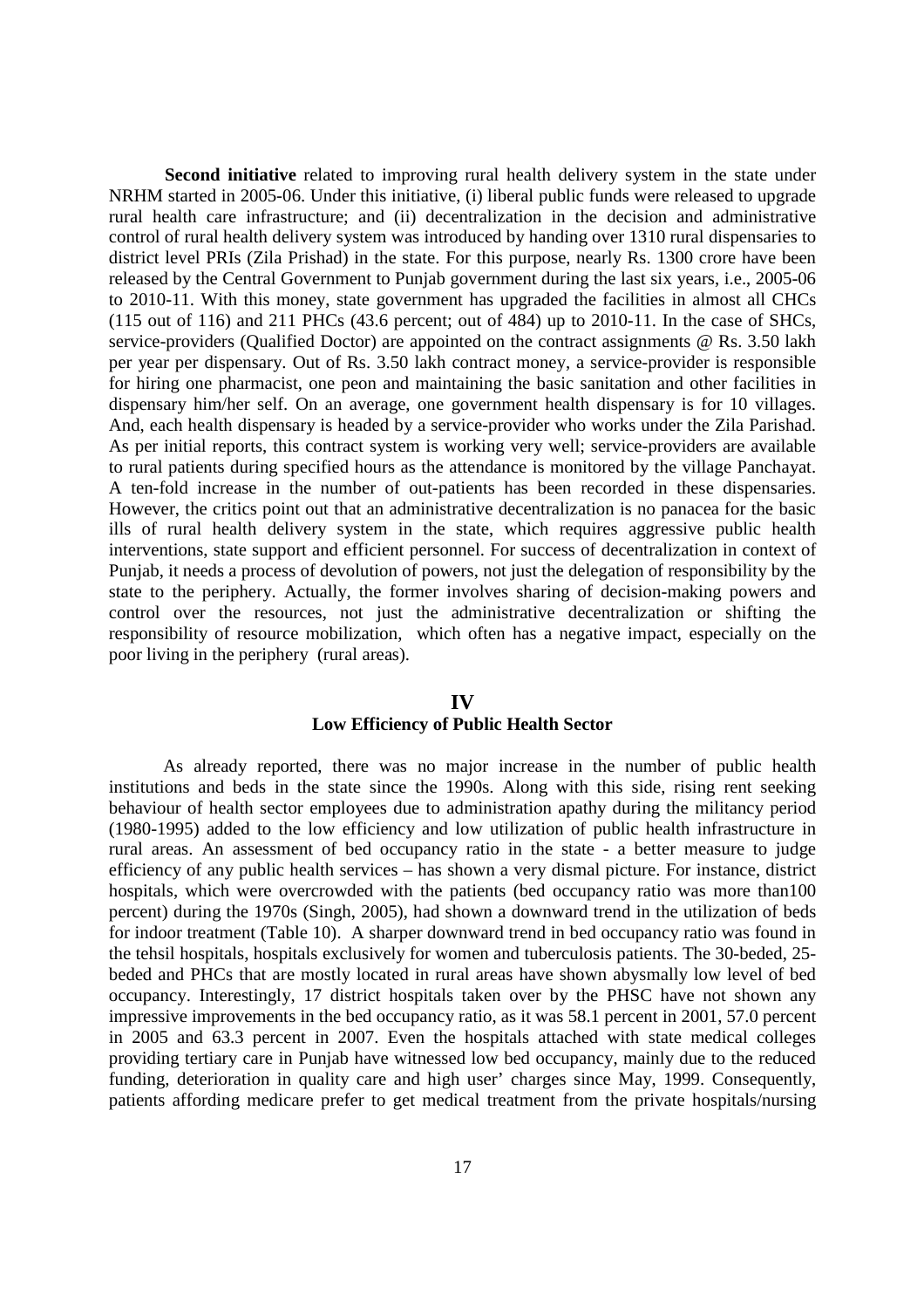**Second initiative** related to improving rural health delivery system in the state under NRHM started in 2005-06. Under this initiative, (i) liberal public funds were released to upgrade rural health care infrastructure; and (ii) decentralization in the decision and administrative control of rural health delivery system was introduced by handing over 1310 rural dispensaries to district level PRIs (Zila Prishad) in the state. For this purpose, nearly Rs. 1300 crore have been released by the Central Government to Punjab government during the last six years, i.e., 2005-06 to 2010-11. With this money, state government has upgraded the facilities in almost all CHCs (115 out of 116) and 211 PHCs (43.6 percent; out of 484) up to 2010-11. In the case of SHCs, service-providers (Qualified Doctor) are appointed on the contract assignments @ Rs. 3.50 lakh per year per dispensary. Out of Rs. 3.50 lakh contract money, a service-provider is responsible for hiring one pharmacist, one peon and maintaining the basic sanitation and other facilities in dispensary him/her self. On an average, one government health dispensary is for 10 villages. And, each health dispensary is headed by a service-provider who works under the Zila Parishad. As per initial reports, this contract system is working very well; service-providers are available to rural patients during specified hours as the attendance is monitored by the village Panchayat. A ten-fold increase in the number of out-patients has been recorded in these dispensaries. However, the critics point out that an administrative decentralization is no panacea for the basic ills of rural health delivery system in the state, which requires aggressive public health interventions, state support and efficient personnel. For success of decentralization in context of Punjab, it needs a process of devolution of powers, not just the delegation of responsibility by the state to the periphery. Actually, the former involves sharing of decision-making powers and control over the resources, not just the administrative decentralization or shifting the responsibility of resource mobilization, which often has a negative impact, especially on the poor living in the periphery (rural areas).

#### **IV**

### **Low Efficiency of Public Health Sector**

 As already reported, there was no major increase in the number of public health institutions and beds in the state since the 1990s. Along with this side, rising rent seeking behaviour of health sector employees due to administration apathy during the militancy period (1980-1995) added to the low efficiency and low utilization of public health infrastructure in rural areas. An assessment of bed occupancy ratio in the state - a better measure to judge efficiency of any public health services – has shown a very dismal picture. For instance, district hospitals, which were overcrowded with the patients (bed occupancy ratio was more than100 percent) during the 1970s (Singh, 2005), had shown a downward trend in the utilization of beds for indoor treatment (Table 10). A sharper downward trend in bed occupancy ratio was found in the tehsil hospitals, hospitals exclusively for women and tuberculosis patients. The 30-beded, 25 beded and PHCs that are mostly located in rural areas have shown abysmally low level of bed occupancy. Interestingly, 17 district hospitals taken over by the PHSC have not shown any impressive improvements in the bed occupancy ratio, as it was 58.1 percent in 2001, 57.0 percent in 2005 and 63.3 percent in 2007. Even the hospitals attached with state medical colleges providing tertiary care in Punjab have witnessed low bed occupancy, mainly due to the reduced funding, deterioration in quality care and high user' charges since May, 1999. Consequently, patients affording medicare prefer to get medical treatment from the private hospitals/nursing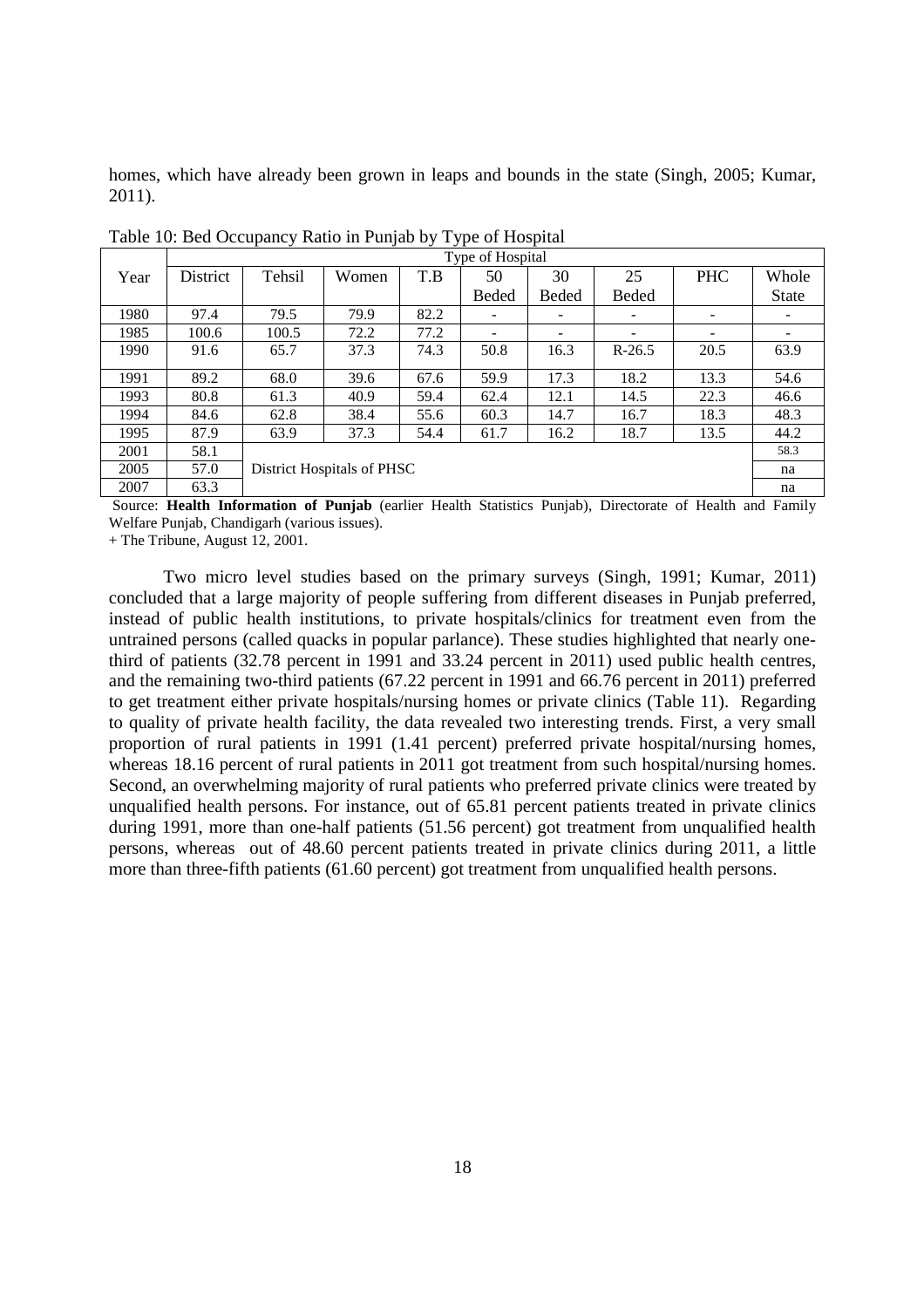homes, which have already been grown in leaps and bounds in the state (Singh, 2005; Kumar, 2011).

|      | Type of Hospital |        |                            |      |       |       |              |            |              |  |  |  |
|------|------------------|--------|----------------------------|------|-------|-------|--------------|------------|--------------|--|--|--|
| Year | District         | Tehsil | Women                      | T.B  | 50    | 30    | 25           | <b>PHC</b> | Whole        |  |  |  |
|      |                  |        |                            |      | Beded | Beded | <b>Beded</b> |            | <b>State</b> |  |  |  |
| 1980 | 97.4             | 79.5   | 79.9                       | 82.2 |       | ۰     |              |            |              |  |  |  |
| 1985 | 100.6            | 100.5  | 72.2                       | 77.2 |       |       |              |            |              |  |  |  |
| 1990 | 91.6             | 65.7   | 37.3                       | 74.3 | 50.8  | 16.3  | $R-26.5$     | 20.5       | 63.9         |  |  |  |
|      |                  |        |                            |      |       |       |              |            |              |  |  |  |
| 1991 | 89.2             | 68.0   | 39.6                       | 67.6 | 59.9  | 17.3  | 18.2         | 13.3       | 54.6         |  |  |  |
| 1993 | 80.8             | 61.3   | 40.9                       | 59.4 | 62.4  | 12.1  | 14.5         | 22.3       | 46.6         |  |  |  |
| 1994 | 84.6             | 62.8   | 38.4                       | 55.6 | 60.3  | 14.7  | 16.7         | 18.3       | 48.3         |  |  |  |
| 1995 | 87.9             | 63.9   | 37.3                       | 54.4 | 61.7  | 16.2  | 18.7         | 13.5       | 44.2         |  |  |  |
| 2001 | 58.1             |        |                            |      |       |       |              |            | 58.3         |  |  |  |
| 2005 | 57.0             |        | District Hospitals of PHSC |      |       |       |              |            |              |  |  |  |
| 2007 | 63.3             |        |                            |      |       |       |              |            | na           |  |  |  |

Table 10: Bed Occupancy Ratio in Punjab by Type of Hospital

 Source: **Health Information of Punjab** (earlier Health Statistics Punjab), Directorate of Health and Family Welfare Punjab, Chandigarh (various issues).

+ The Tribune, August 12, 2001.

 Two micro level studies based on the primary surveys (Singh, 1991; Kumar, 2011) concluded that a large majority of people suffering from different diseases in Punjab preferred, instead of public health institutions, to private hospitals/clinics for treatment even from the untrained persons (called quacks in popular parlance). These studies highlighted that nearly onethird of patients (32.78 percent in 1991 and 33.24 percent in 2011) used public health centres, and the remaining two-third patients (67.22 percent in 1991 and 66.76 percent in 2011) preferred to get treatment either private hospitals/nursing homes or private clinics (Table 11). Regarding to quality of private health facility, the data revealed two interesting trends. First, a very small proportion of rural patients in 1991 (1.41 percent) preferred private hospital/nursing homes, whereas 18.16 percent of rural patients in 2011 got treatment from such hospital/nursing homes. Second, an overwhelming majority of rural patients who preferred private clinics were treated by unqualified health persons. For instance, out of 65.81 percent patients treated in private clinics during 1991, more than one-half patients (51.56 percent) got treatment from unqualified health persons, whereas out of 48.60 percent patients treated in private clinics during 2011, a little more than three-fifth patients (61.60 percent) got treatment from unqualified health persons.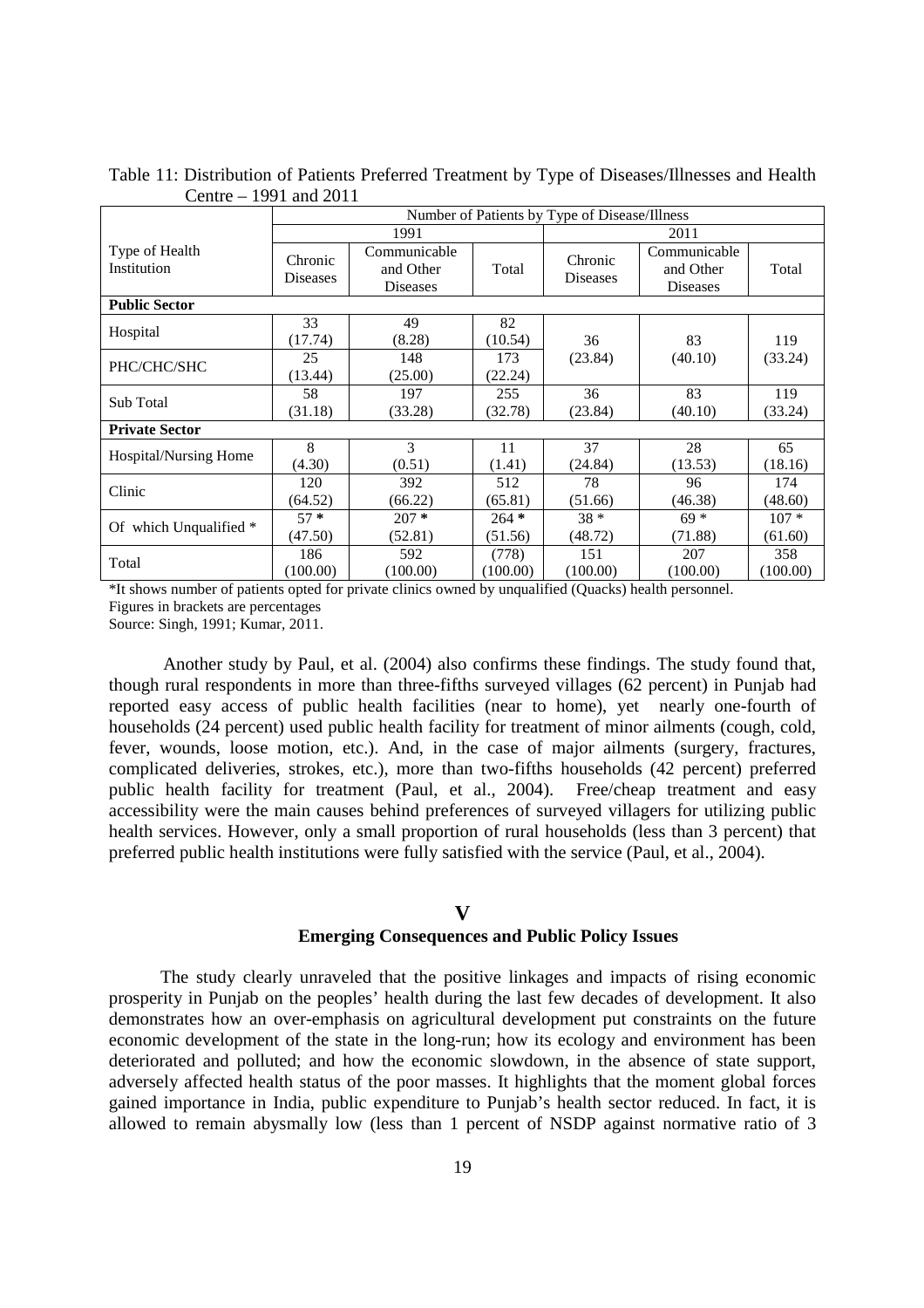|                               |                                                              | Number of Patients by Type of Disease/Illness |                    |                            |                                       |                    |  |  |  |  |  |
|-------------------------------|--------------------------------------------------------------|-----------------------------------------------|--------------------|----------------------------|---------------------------------------|--------------------|--|--|--|--|--|
|                               |                                                              | 1991                                          |                    |                            | 2011                                  |                    |  |  |  |  |  |
| Type of Health<br>Institution | Communicable<br>Chronic<br>and Other<br>Diseases<br>Diseases |                                               | Total              | Chronic<br><b>Diseases</b> | Communicable<br>and Other<br>Diseases | Total              |  |  |  |  |  |
| <b>Public Sector</b>          |                                                              |                                               |                    |                            |                                       |                    |  |  |  |  |  |
| Hospital                      | 33<br>(17.74)                                                | 49<br>(8.28)                                  | 82<br>(10.54)      | 36                         | 83                                    | 119                |  |  |  |  |  |
| PHC/CHC/SHC                   | 25<br>(13.44)                                                | 148<br>(25.00)                                | 173<br>(22.24)     | (23.84)                    | (40.10)                               | (33.24)            |  |  |  |  |  |
| Sub Total                     | 58<br>(31.18)                                                | 197<br>(33.28)                                | 255<br>(32.78)     | 36<br>(23.84)              | 83<br>(40.10)                         | 119<br>(33.24)     |  |  |  |  |  |
| <b>Private Sector</b>         |                                                              |                                               |                    |                            |                                       |                    |  |  |  |  |  |
| <b>Hospital/Nursing Home</b>  | 8<br>(4.30)                                                  | 3<br>(0.51)                                   | 11<br>(1.41)       | 37<br>(24.84)              | 28<br>(13.53)                         | 65<br>(18.16)      |  |  |  |  |  |
| Clinic                        | 120<br>(64.52)                                               | 392<br>(66.22)                                | 512<br>(65.81)     | 78<br>(51.66)              | 96<br>(46.38)                         | 174<br>(48.60)     |  |  |  |  |  |
| Of which Unqualified *        | $57*$<br>(47.50)                                             | $207 *$<br>(52.81)                            | $264 *$<br>(51.56) | $38 *$<br>(48.72)          | $69*$<br>(71.88)                      | $107 *$<br>(61.60) |  |  |  |  |  |
| Total                         | 186<br>(100.00)                                              | 592<br>(100.00)                               | (778)<br>(100.00)  | 151<br>(100.00)            | 207<br>(100.00)                       | 358<br>(100.00)    |  |  |  |  |  |

Table 11: Distribution of Patients Preferred Treatment by Type of Diseases/Illnesses and Health Centre – 1991 and 2011

\*It shows number of patients opted for private clinics owned by unqualified (Quacks) health personnel. Figures in brackets are percentages

Source: Singh, 1991; Kumar, 2011.

Another study by Paul, et al. (2004) also confirms these findings. The study found that, though rural respondents in more than three-fifths surveyed villages (62 percent) in Punjab had reported easy access of public health facilities (near to home), yet nearly one-fourth of households (24 percent) used public health facility for treatment of minor ailments (cough, cold, fever, wounds, loose motion, etc.). And, in the case of major ailments (surgery, fractures, complicated deliveries, strokes, etc.), more than two-fifths households (42 percent) preferred public health facility for treatment (Paul, et al., 2004). Free/cheap treatment and easy accessibility were the main causes behind preferences of surveyed villagers for utilizing public health services. However, only a small proportion of rural households (less than 3 percent) that preferred public health institutions were fully satisfied with the service (Paul, et al., 2004).

#### **V**

#### **Emerging Consequences and Public Policy Issues**

The study clearly unraveled that the positive linkages and impacts of rising economic prosperity in Punjab on the peoples' health during the last few decades of development. It also demonstrates how an over-emphasis on agricultural development put constraints on the future economic development of the state in the long-run; how its ecology and environment has been deteriorated and polluted; and how the economic slowdown, in the absence of state support, adversely affected health status of the poor masses. It highlights that the moment global forces gained importance in India, public expenditure to Punjab's health sector reduced. In fact, it is allowed to remain abysmally low (less than 1 percent of NSDP against normative ratio of 3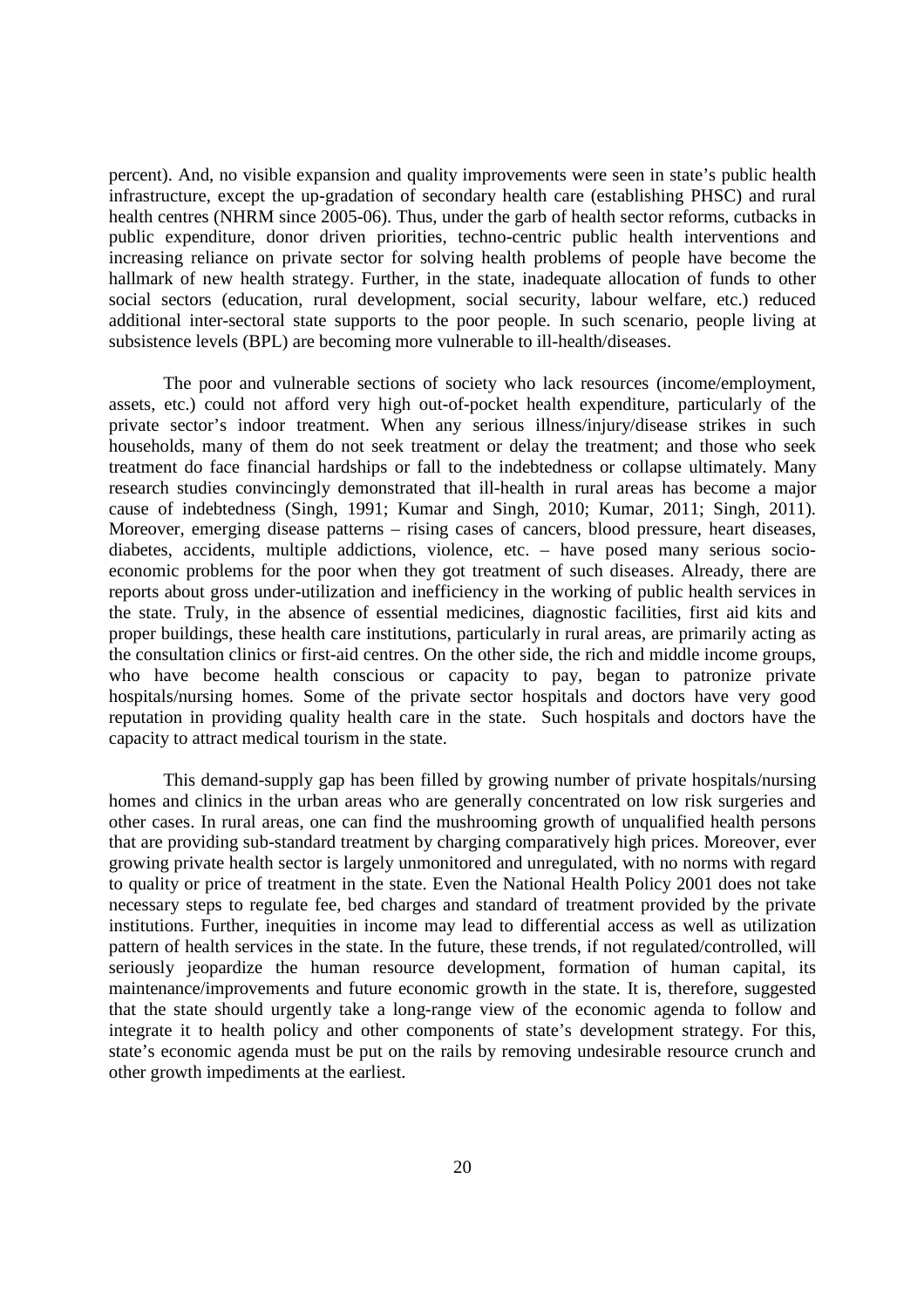percent). And, no visible expansion and quality improvements were seen in state's public health infrastructure, except the up-gradation of secondary health care (establishing PHSC) and rural health centres (NHRM since 2005-06). Thus, under the garb of health sector reforms, cutbacks in public expenditure, donor driven priorities, techno-centric public health interventions and increasing reliance on private sector for solving health problems of people have become the hallmark of new health strategy. Further, in the state, inadequate allocation of funds to other social sectors (education, rural development, social security, labour welfare, etc.) reduced additional inter-sectoral state supports to the poor people. In such scenario, people living at subsistence levels (BPL) are becoming more vulnerable to ill-health/diseases.

The poor and vulnerable sections of society who lack resources (income/employment, assets, etc.) could not afford very high out-of-pocket health expenditure, particularly of the private sector's indoor treatment. When any serious illness/injury/disease strikes in such households, many of them do not seek treatment or delay the treatment; and those who seek treatment do face financial hardships or fall to the indebtedness or collapse ultimately. Many research studies convincingly demonstrated that ill-health in rural areas has become a major cause of indebtedness (Singh, 1991; Kumar and Singh, 2010; Kumar, 2011; Singh, 2011). Moreover, emerging disease patterns – rising cases of cancers, blood pressure, heart diseases, diabetes, accidents, multiple addictions, violence, etc. – have posed many serious socioeconomic problems for the poor when they got treatment of such diseases. Already, there are reports about gross under-utilization and inefficiency in the working of public health services in the state. Truly, in the absence of essential medicines, diagnostic facilities, first aid kits and proper buildings, these health care institutions, particularly in rural areas, are primarily acting as the consultation clinics or first-aid centres. On the other side, the rich and middle income groups, who have become health conscious or capacity to pay, began to patronize private hospitals/nursing homes. Some of the private sector hospitals and doctors have very good reputation in providing quality health care in the state. Such hospitals and doctors have the capacity to attract medical tourism in the state.

This demand-supply gap has been filled by growing number of private hospitals/nursing homes and clinics in the urban areas who are generally concentrated on low risk surgeries and other cases. In rural areas, one can find the mushrooming growth of unqualified health persons that are providing sub-standard treatment by charging comparatively high prices. Moreover, ever growing private health sector is largely unmonitored and unregulated, with no norms with regard to quality or price of treatment in the state. Even the National Health Policy 2001 does not take necessary steps to regulate fee, bed charges and standard of treatment provided by the private institutions. Further, inequities in income may lead to differential access as well as utilization pattern of health services in the state. In the future, these trends, if not regulated/controlled, will seriously jeopardize the human resource development, formation of human capital, its maintenance/improvements and future economic growth in the state. It is, therefore, suggested that the state should urgently take a long-range view of the economic agenda to follow and integrate it to health policy and other components of state's development strategy. For this, state's economic agenda must be put on the rails by removing undesirable resource crunch and other growth impediments at the earliest.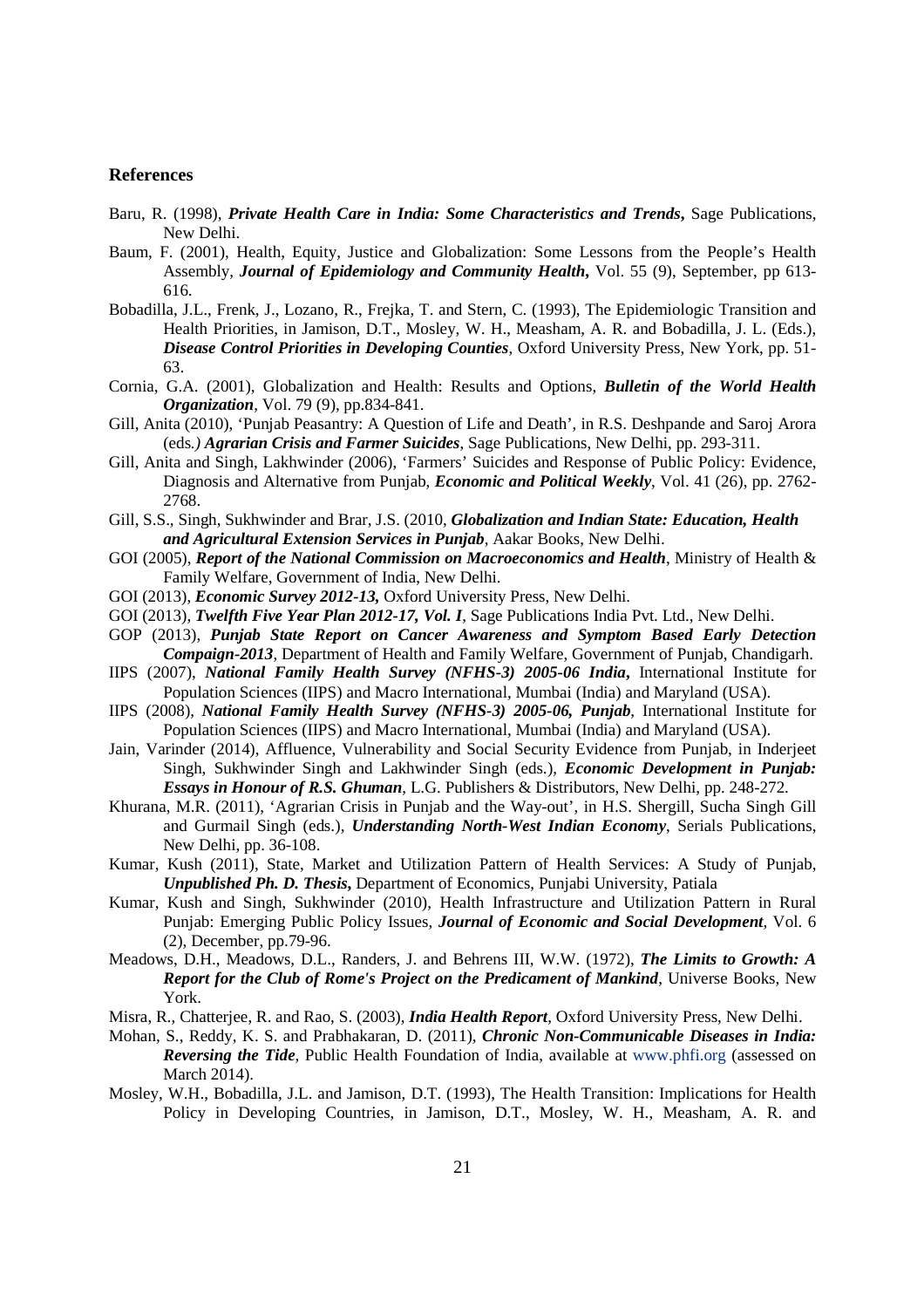#### **References**

- Baru, R. (1998), *Private Health Care in India: Some Characteristics and Trends***,** Sage Publications, New Delhi.
- Baum, F. (2001), Health, Equity, Justice and Globalization: Some Lessons from the People's Health Assembly, *Journal of Epidemiology and Community Health***,** Vol. 55 (9), September, pp 613- 616.
- Bobadilla, J.L., Frenk, J., Lozano, R., Frejka, T. and Stern, C. (1993), The Epidemiologic Transition and Health Priorities, in Jamison, D.T., Mosley, W. H., Measham, A. R. and Bobadilla, J. L. (Eds.), *Disease Control Priorities in Developing Counties*, Oxford University Press, New York, pp. 51- 63.
- Cornia, G.A. (2001), Globalization and Health: Results and Options, *Bulletin of the World Health Organization*, Vol. 79 (9), pp.834-841.
- Gill, Anita (2010), 'Punjab Peasantry: A Question of Life and Death', in R.S. Deshpande and Saroj Arora (eds*.) Agrarian Crisis and Farmer Suicides*, Sage Publications, New Delhi, pp. 293-311.
- Gill, Anita and Singh, Lakhwinder (2006), 'Farmers' Suicides and Response of Public Policy: Evidence, Diagnosis and Alternative from Punjab, *Economic and Political Weekly*, Vol. 41 (26), pp. 2762- 2768.
- Gill, S.S., Singh, Sukhwinder and Brar, J.S. (2010, *Globalization and Indian State: Education, Health and Agricultural Extension Services in Punjab*, Aakar Books, New Delhi.
- GOI (2005), *Report of the National Commission on Macroeconomics and Health*, Ministry of Health & Family Welfare, Government of India, New Delhi.
- GOI (2013), *Economic Survey 2012-13,* Oxford University Press, New Delhi.
- GOI (2013), *Twelfth Five Year Plan 2012-17, Vol. I*, Sage Publications India Pvt. Ltd., New Delhi.
- GOP (2013), *Punjab State Report on Cancer Awareness and Symptom Based Early Detection Compaign-2013*, Department of Health and Family Welfare, Government of Punjab, Chandigarh.
- IIPS (2007), *National Family Health Survey (NFHS-3) 2005-06 India***,** International Institute for Population Sciences (IIPS) and Macro International, Mumbai (India) and Maryland (USA).
- IIPS (2008), *National Family Health Survey (NFHS-3) 2005-06, Punjab*, International Institute for Population Sciences (IIPS) and Macro International, Mumbai (India) and Maryland (USA).
- Jain, Varinder (2014), Affluence, Vulnerability and Social Security Evidence from Punjab, in Inderjeet Singh, Sukhwinder Singh and Lakhwinder Singh (eds.), *Economic Development in Punjab: Essays in Honour of R.S. Ghuman*, L.G. Publishers & Distributors, New Delhi, pp. 248-272.
- Khurana, M.R. (2011), 'Agrarian Crisis in Punjab and the Way-out', in H.S. Shergill, Sucha Singh Gill and Gurmail Singh (eds.), *Understanding North-West Indian Economy*, Serials Publications, New Delhi, pp. 36-108.
- Kumar, Kush (2011), State, Market and Utilization Pattern of Health Services: A Study of Punjab, *Unpublished Ph. D. Thesis***,** Department of Economics, Punjabi University, Patiala
- Kumar, Kush and Singh, Sukhwinder (2010), Health Infrastructure and Utilization Pattern in Rural Punjab: Emerging Public Policy Issues, *Journal of Economic and Social Development*, Vol. 6 (2), December, pp.79-96.
- Meadows, D.H., Meadows, D.L., Randers, J. and Behrens III, W.W. (1972), *The Limits to Growth: A Report for the Club of Rome's Project on the Predicament of Mankind*, Universe Books, New York.
- Misra, R., Chatterjee, R. and Rao, S. (2003), *India Health Report*, Oxford University Press, New Delhi.
- Mohan, S., Reddy, K. S. and Prabhakaran, D. (2011), *Chronic Non-Communicable Diseases in India: Reversing the Tide*, Public Health Foundation of India, available at www.phfi.org (assessed on March 2014).
- Mosley, W.H., Bobadilla, J.L. and Jamison, D.T. (1993), The Health Transition: Implications for Health Policy in Developing Countries, in Jamison, D.T., Mosley, W. H., Measham, A. R. and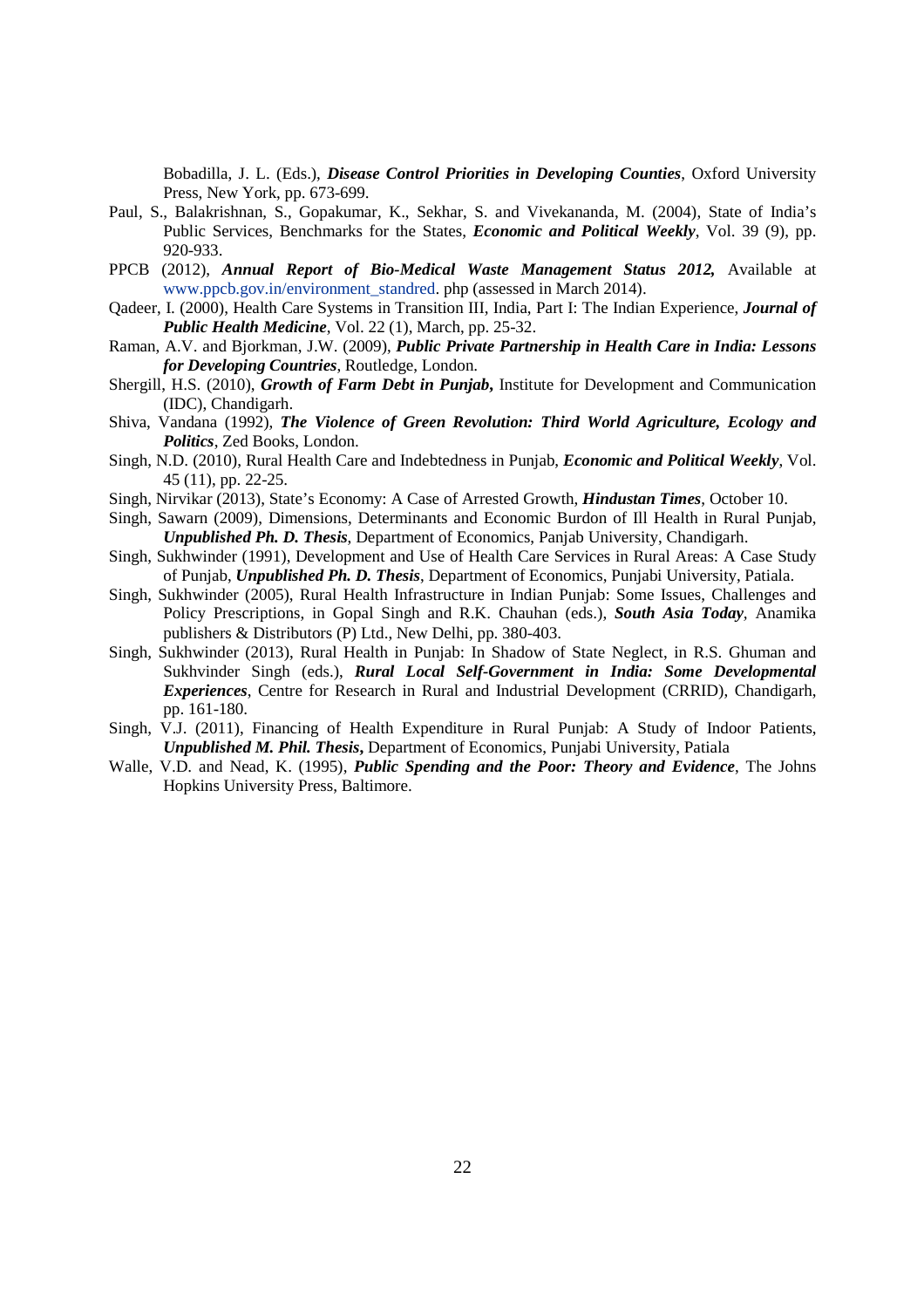Bobadilla, J. L. (Eds.), *Disease Control Priorities in Developing Counties*, Oxford University Press, New York, pp. 673-699.

- Paul, S., Balakrishnan, S., Gopakumar, K., Sekhar, S. and Vivekananda, M. (2004), State of India's Public Services, Benchmarks for the States, *Economic and Political Weekly*, Vol. 39 (9), pp. 920-933.
- PPCB (2012), *Annual Report of Bio-Medical Waste Management Status 2012*, Available at www.ppcb.gov.in/environment\_standred. php (assessed in March 2014).
- Qadeer, I. (2000), Health Care Systems in Transition III, India, Part I: The Indian Experience, *Journal of Public Health Medicine*, Vol. 22 (1), March, pp. 25-32.
- Raman, A.V. and Bjorkman, J.W. (2009), *Public Private Partnership in Health Care in India: Lessons for Developing Countries*, Routledge, London.
- Shergill, H.S. (2010), *Growth of Farm Debt in Punjab***,** Institute for Development and Communication (IDC), Chandigarh.
- Shiva, Vandana (1992), *The Violence of Green Revolution: Third World Agriculture, Ecology and Politics*, Zed Books, London.
- Singh, N.D. (2010), Rural Health Care and Indebtedness in Punjab, *Economic and Political Weekly*, Vol. 45 (11), pp. 22-25.
- Singh, Nirvikar (2013), State's Economy: A Case of Arrested Growth, *Hindustan Times*, October 10.
- Singh, Sawarn (2009), Dimensions, Determinants and Economic Burdon of Ill Health in Rural Punjab, *Unpublished Ph. D. Thesis*, Department of Economics, Panjab University, Chandigarh.
- Singh, Sukhwinder (1991), Development and Use of Health Care Services in Rural Areas: A Case Study of Punjab, *Unpublished Ph. D. Thesis*, Department of Economics, Punjabi University, Patiala.
- Singh, Sukhwinder (2005), Rural Health Infrastructure in Indian Punjab: Some Issues, Challenges and Policy Prescriptions, in Gopal Singh and R.K. Chauhan (eds.), *South Asia Today,* Anamika publishers & Distributors (P) Ltd., New Delhi, pp. 380-403.
- Singh, Sukhwinder (2013), Rural Health in Punjab: In Shadow of State Neglect, in R.S. Ghuman and Sukhvinder Singh (eds.), *Rural Local Self-Government in India: Some Developmental Experiences*, Centre for Research in Rural and Industrial Development (CRRID), Chandigarh, pp. 161-180.
- Singh, V.J. (2011), Financing of Health Expenditure in Rural Punjab: A Study of Indoor Patients, *Unpublished M. Phil. Thesis***,** Department of Economics, Punjabi University, Patiala
- Walle, V.D. and Nead, K. (1995), *Public Spending and the Poor: Theory and Evidence*, The Johns Hopkins University Press, Baltimore.